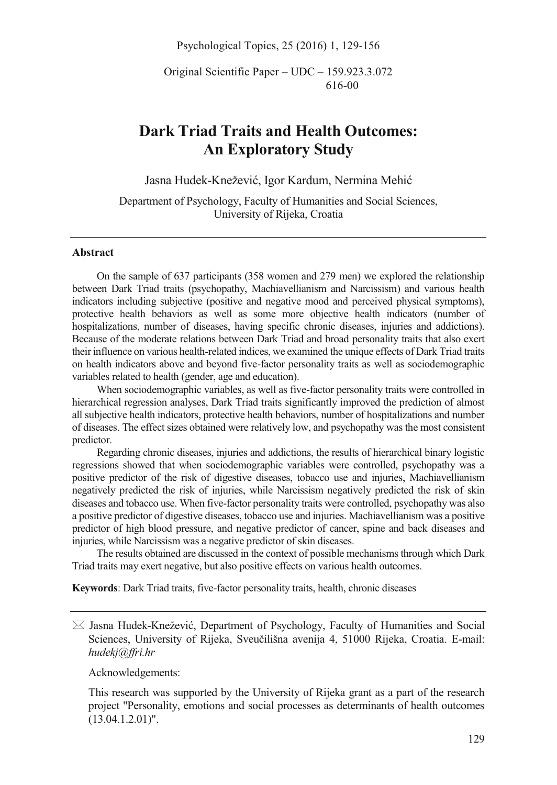Psychological Topics, 25 (2016) 1, 129-156

Original Scientific Paper – UDC – 159.923.3.072 616-00

# **Dark Triad Traits and Health Outcomes: An Exploratory Study**

Jasna Hudek-Knežević, Igor Kardum, Nermina Mehić

Department of Psychology, Faculty of Humanities and Social Sciences, University of Rijeka, Croatia

## **Abstract**

On the sample of 637 participants (358 women and 279 men) we explored the relationship between Dark Triad traits (psychopathy, Machiavellianism and Narcissism) and various health indicators including subjective (positive and negative mood and perceived physical symptoms), protective health behaviors as well as some more objective health indicators (number of hospitalizations, number of diseases, having specific chronic diseases, injuries and addictions). Because of the moderate relations between Dark Triad and broad personality traits that also exert their influence on various health-related indices, we examined the unique effects of Dark Triad traits on health indicators above and beyond five-factor personality traits as well as sociodemographic variables related to health (gender, age and education).

When sociodemographic variables, as well as five-factor personality traits were controlled in hierarchical regression analyses, Dark Triad traits significantly improved the prediction of almost all subjective health indicators, protective health behaviors, number of hospitalizations and number of diseases. The effect sizes obtained were relatively low, and psychopathy was the most consistent predictor.

Regarding chronic diseases, injuries and addictions, the results of hierarchical binary logistic regressions showed that when sociodemographic variables were controlled, psychopathy was a positive predictor of the risk of digestive diseases, tobacco use and injuries, Machiavellianism negatively predicted the risk of injuries, while Narcissism negatively predicted the risk of skin diseases and tobacco use. When five-factor personality traits were controlled, psychopathy was also a positive predictor of digestive diseases, tobacco use and injuries. Machiavellianism was a positive predictor of high blood pressure, and negative predictor of cancer, spine and back diseases and injuries, while Narcissism was a negative predictor of skin diseases.

The results obtained are discussed in the context of possible mechanisms through which Dark Triad traits may exert negative, but also positive effects on various health outcomes.

**Keywords**: Dark Triad traits, five-factor personality traits, health, chronic diseases

- Jasna Hudek-Knežević, Department of Psychology, Faculty of Humanities and Social Sciences, University of Rijeka, Sveučilišna avenija 4, 51000 Rijeka, Croatia. E-mail: *hudekj@ffri.hr* 

Acknowledgements:

This research was supported by the University of Rijeka grant as a part of the research project "Personality, emotions and social processes as determinants of health outcomes (13.04.1.2.01)".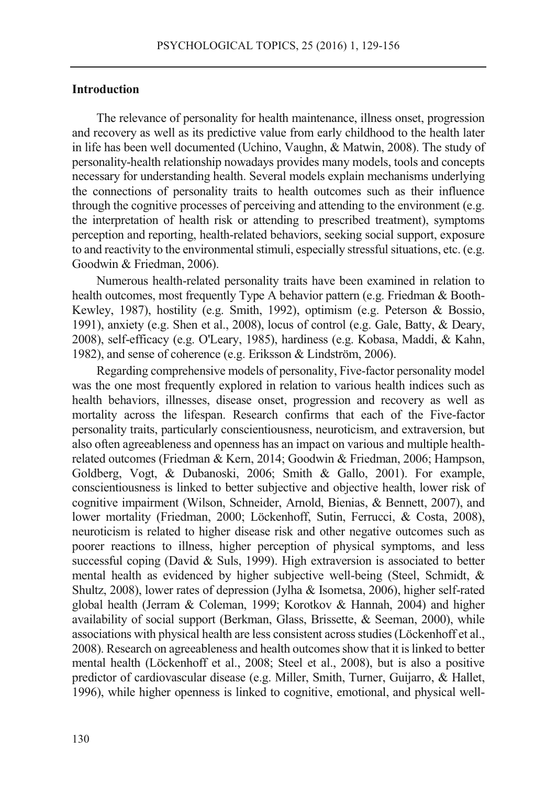## **Introduction**

The relevance of personality for health maintenance, illness onset, progression and recovery as well as its predictive value from early childhood to the health later in life has been well documented (Uchino, Vaughn, & Matwin, 2008). The study of personality-health relationship nowadays provides many models, tools and concepts necessary for understanding health. Several models explain mechanisms underlying the connections of personality traits to health outcomes such as their influence through the cognitive processes of perceiving and attending to the environment (e.g. the interpretation of health risk or attending to prescribed treatment), symptoms perception and reporting, health-related behaviors, seeking social support, exposure to and reactivity to the environmental stimuli, especially stressful situations, etc. (e.g. Goodwin & Friedman, 2006).

Numerous health-related personality traits have been examined in relation to health outcomes, most frequently Type A behavior pattern (e.g. Friedman & Booth-Kewley, 1987), hostility (e.g. Smith, 1992), optimism (e.g. Peterson & Bossio, 1991), anxiety (e.g. Shen et al., 2008), locus of control (e.g. Gale, Batty, & Deary, 2008), self-efficacy (e.g. O'Leary, 1985), hardiness (e.g. Kobasa, Maddi, & Kahn, 1982), and sense of coherence (e.g. Eriksson & Lindström, 2006).

Regarding comprehensive models of personality, Five-factor personality model was the one most frequently explored in relation to various health indices such as health behaviors, illnesses, disease onset, progression and recovery as well as mortality across the lifespan. Research confirms that each of the Five-factor personality traits, particularly conscientiousness, neuroticism, and extraversion, but also often agreeableness and openness has an impact on various and multiple healthrelated outcomes (Friedman & Kern, 2014; Goodwin & Friedman, 2006; Hampson, Goldberg, Vogt, & Dubanoski, 2006; Smith & Gallo, 2001). For example, conscientiousness is linked to better subjective and objective health, lower risk of cognitive impairment (Wilson, Schneider, Arnold, Bienias, & Bennett, 2007), and lower mortality (Friedman, 2000; Löckenhoff, Sutin, Ferrucci, & Costa, 2008), neuroticism is related to higher disease risk and other negative outcomes such as poorer reactions to illness, higher perception of physical symptoms, and less successful coping (David & Suls, 1999). High extraversion is associated to better mental health as evidenced by higher subjective well-being (Steel, Schmidt, & Shultz, 2008), lower rates of depression (Jylha & Isometsa, 2006), higher self-rated global health (Jerram & Coleman, 1999; Korotkov & Hannah, 2004) and higher availability of social support (Berkman, Glass, Brissette, & Seeman, 2000), while associations with physical health are less consistent across studies (Löckenhoff et al., 2008). Research on agreeableness and health outcomes show that it is linked to better mental health (Löckenhoff et al., 2008; Steel et al., 2008), but is also a positive predictor of cardiovascular disease (e.g. Miller, Smith, Turner, Guijarro, & Hallet, 1996), while higher openness is linked to cognitive, emotional, and physical well-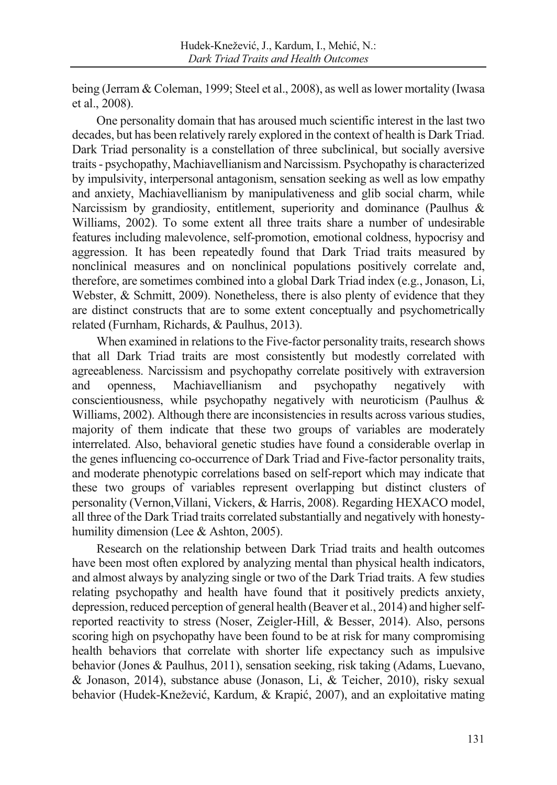being (Jerram & Coleman, 1999; Steel et al., 2008), as well as lower mortality (Iwasa et al., 2008).

One personality domain that has aroused much scientific interest in the last two decades, but has been relatively rarely explored in the context of health is Dark Triad. Dark Triad personality is a constellation of three subclinical, but socially aversive traits - psychopathy, Machiavellianism and Narcissism. Psychopathy is characterized by impulsivity, interpersonal antagonism, sensation seeking as well as low empathy and anxiety, Machiavellianism by manipulativeness and glib social charm, while Narcissism by grandiosity, entitlement, superiority and dominance (Paulhus & Williams, 2002). To some extent all three traits share a number of undesirable features including malevolence, self-promotion, emotional coldness, hypocrisy and aggression. It has been repeatedly found that Dark Triad traits measured by nonclinical measures and on nonclinical populations positively correlate and, therefore, are sometimes combined into a global Dark Triad index (e.g., Jonason, Li, Webster, & Schmitt, 2009). Nonetheless, there is also plenty of evidence that they are distinct constructs that are to some extent conceptually and psychometrically related (Furnham, Richards, & Paulhus, 2013).

When examined in relations to the Five-factor personality traits, research shows that all Dark Triad traits are most consistently but modestly correlated with agreeableness. Narcissism and psychopathy correlate positively with extraversion and openness, Machiavellianism and psychopathy negatively with conscientiousness, while psychopathy negatively with neuroticism (Paulhus & Williams, 2002). Although there are inconsistencies in results across various studies, majority of them indicate that these two groups of variables are moderately interrelated. Also, behavioral genetic studies have found a considerable overlap in the genes influencing co-occurrence of Dark Triad and Five-factor personality traits, and moderate phenotypic correlations based on self-report which may indicate that these two groups of variables represent overlapping but distinct clusters of personality (Vernon,Villani, Vickers, & Harris, 2008). Regarding HEXACO model, all three of the Dark Triad traits correlated substantially and negatively with honestyhumility dimension (Lee & Ashton, 2005).

Research on the relationship between Dark Triad traits and health outcomes have been most often explored by analyzing mental than physical health indicators, and almost always by analyzing single or two of the Dark Triad traits. A few studies relating psychopathy and health have found that it positively predicts anxiety, depression, reduced perception of general health (Beaver et al., 2014) and higher selfreported reactivity to stress (Noser, Zeigler-Hill, & Besser, 2014). Also, persons scoring high on psychopathy have been found to be at risk for many compromising health behaviors that correlate with shorter life expectancy such as impulsive behavior (Jones & Paulhus, 2011), sensation seeking, risk taking (Adams, Luevano, & Jonason, 2014), substance abuse (Jonason, Li, & Teicher, 2010), risky sexual behavior (Hudek-Knežević, Kardum, & Krapić, 2007), and an exploitative mating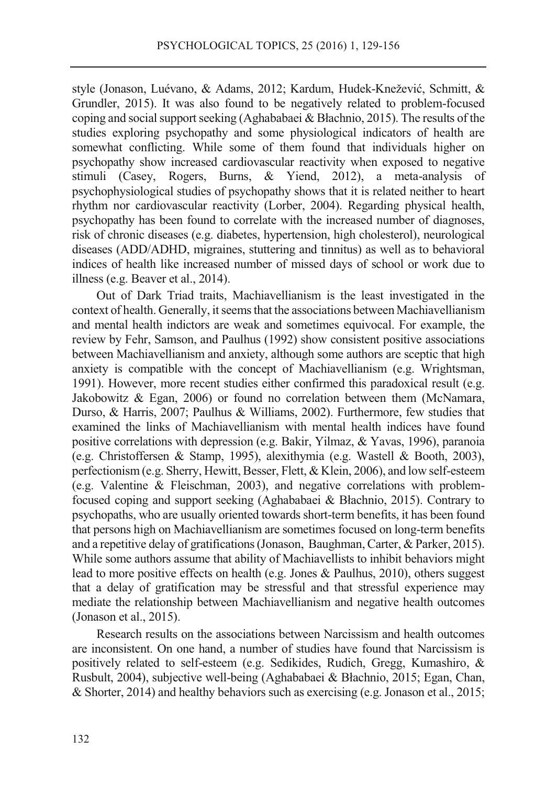style (Jonason, Luévano, & Adams, 2012; Kardum, Hudek-Knežević, Schmitt, & Grundler, 2015). It was also found to be negatively related to problem-focused coping and social support seeking (Aghababaei & Błachnio, 2015). The results of the studies exploring psychopathy and some physiological indicators of health are somewhat conflicting. While some of them found that individuals higher on psychopathy show increased cardiovascular reactivity when exposed to negative stimuli (Casey, Rogers, Burns, & Yiend, 2012), a meta-analysis of psychophysiological studies of psychopathy shows that it is related neither to heart rhythm nor cardiovascular reactivity (Lorber, 2004). Regarding physical health, psychopathy has been found to correlate with the increased number of diagnoses, risk of chronic diseases (e.g. diabetes, hypertension, high cholesterol), neurological diseases (ADD/ADHD, migraines, stuttering and tinnitus) as well as to behavioral indices of health like increased number of missed days of school or work due to illness (e.g. Beaver et al., 2014).

Out of Dark Triad traits, Machiavellianism is the least investigated in the context of health. Generally, it seems that the associations between Machiavellianism and mental health indictors are weak and sometimes equivocal. For example, the review by Fehr, Samson, and Paulhus (1992) show consistent positive associations between Machiavellianism and anxiety, although some authors are sceptic that high anxiety is compatible with the concept of Machiavellianism (e.g. Wrightsman, 1991). However, more recent studies either confirmed this paradoxical result (e.g. Jakobowitz & Egan, 2006) or found no correlation between them (McNamara, Durso, & Harris, 2007; Paulhus & Williams, 2002). Furthermore, few studies that examined the links of Machiavellianism with mental health indices have found positive correlations with depression (e.g. Bakir, Yilmaz, & Yavas, 1996), paranoia (e.g. Christoffersen & Stamp, 1995), alexithymia (e.g. Wastell & Booth, 2003), perfectionism (e.g. Sherry, Hewitt, Besser, Flett, & Klein, 2006), and low self-esteem (e.g. Valentine & Fleischman, 2003), and negative correlations with problemfocused coping and support seeking (Aghababaei & Błachnio, 2015). Contrary to psychopaths, who are usually oriented towards short-term benefits, it has been found that persons high on Machiavellianism are sometimes focused on long-term benefits and a repetitive delay of gratifications (Jonason, Baughman, Carter, & Parker, 2015). While some authors assume that ability of Machiavellists to inhibit behaviors might lead to more positive effects on health (e.g. Jones & Paulhus, 2010), others suggest that a delay of gratification may be stressful and that stressful experience may mediate the relationship between Machiavellianism and negative health outcomes (Jonason et al., 2015).

Research results on the associations between Narcissism and health outcomes are inconsistent. On one hand, a number of studies have found that Narcissism is positively related to self-esteem (e.g. Sedikides, Rudich, Gregg, Kumashiro, & Rusbult, 2004), subjective well-being (Aghababaei & Błachnio, 2015; Egan, Chan, & Shorter, 2014) and healthy behaviors such as exercising (e.g. Jonason et al., 2015;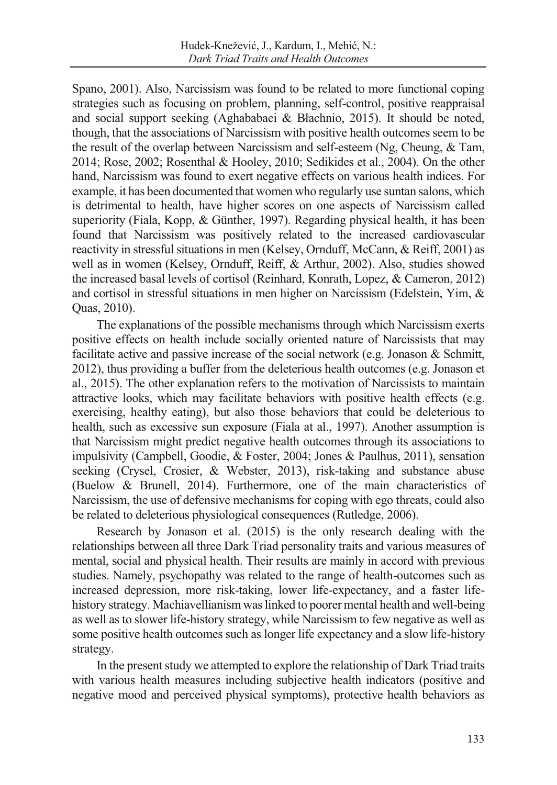Spano, 2001). Also, Narcissism was found to be related to more functional coping strategies such as focusing on problem, planning, self-control, positive reappraisal and social support seeking (Aghababaei & Błachnio, 2015). It should be noted, though, that the associations of Narcissism with positive health outcomes seem to be the result of the overlap between Narcissism and self-esteem (Ng, Cheung, & Tam, 2014; Rose, 2002; Rosenthal & Hooley, 2010; Sedikides et al., 2004). On the other hand, Narcissism was found to exert negative effects on various health indices. For example, it has been documented that women who regularly use suntan salons, which is detrimental to health, have higher scores on one aspects of Narcissism called superiority (Fiala, Kopp, & Günther, 1997). Regarding physical health, it has been found that Narcissism was positively related to the increased cardiovascular reactivity in stressful situations in men (Kelsey, Ornduff, McCann, & Reiff, 2001) as well as in women (Kelsey, Ornduff, Reiff, & Arthur, 2002). Also, studies showed the increased basal levels of cortisol (Reinhard, Konrath, Lopez, & Cameron, 2012) and cortisol in stressful situations in men higher on Narcissism (Edelstein, Yim, & Quas, 2010).

The explanations of the possible mechanisms through which Narcissism exerts positive effects on health include socially oriented nature of Narcissists that may facilitate active and passive increase of the social network (e.g. Jonason & Schmitt, 2012), thus providing a buffer from the deleterious health outcomes (e.g. Jonason et al., 2015). The other explanation refers to the motivation of Narcissists to maintain attractive looks, which may facilitate behaviors with positive health effects (e.g. exercising, healthy eating), but also those behaviors that could be deleterious to health, such as excessive sun exposure (Fiala at al., 1997). Another assumption is that Narcissism might predict negative health outcomes through its associations to impulsivity (Campbell, Goodie, & Foster, 2004; Jones & Paulhus, 2011), sensation seeking (Crysel, Crosier, & Webster, 2013), risk-taking and substance abuse (Buelow & Brunell, 2014). Furthermore, one of the main characteristics of Narcissism, the use of defensive mechanisms for coping with ego threats, could also be related to deleterious physiological consequences (Rutledge, 2006).

Research by Jonason et al. (2015) is the only research dealing with the relationships between all three Dark Triad personality traits and various measures of mental, social and physical health. Their results are mainly in accord with previous studies. Namely, psychopathy was related to the range of health-outcomes such as increased depression, more risk-taking, lower life-expectancy, and a faster lifehistory strategy. Machiavellianism was linked to poorer mental health and well-being as well as to slower life-history strategy, while Narcissism to few negative as well as some positive health outcomes such as longer life expectancy and a slow life-history strategy.

In the present study we attempted to explore the relationship of Dark Triad traits with various health measures including subjective health indicators (positive and negative mood and perceived physical symptoms), protective health behaviors as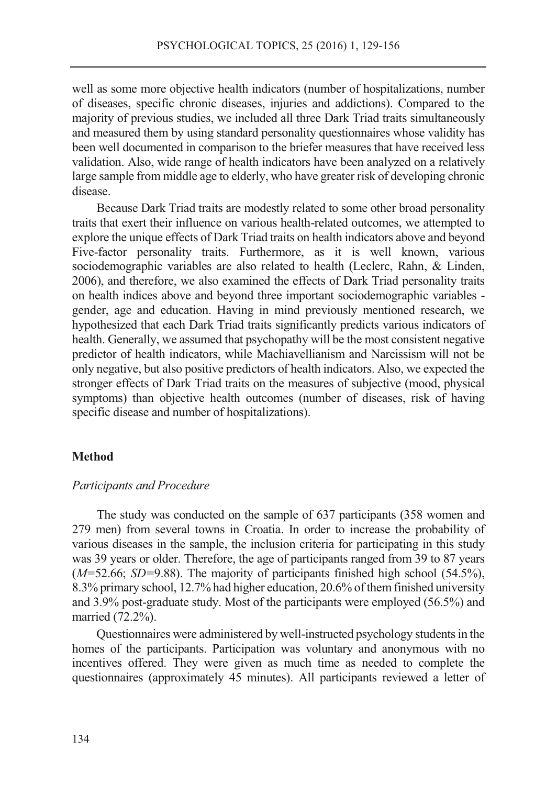well as some more objective health indicators (number of hospitalizations, number of diseases, specific chronic diseases, injuries and addictions). Compared to the majority of previous studies, we included all three Dark Triad traits simultaneously and measured them by using standard personality questionnaires whose validity has been well documented in comparison to the briefer measures that have received less validation. Also, wide range of health indicators have been analyzed on a relatively large sample from middle age to elderly, who have greater risk of developing chronic disease.

Because Dark Triad traits are modestly related to some other broad personality traits that exert their influence on various health-related outcomes, we attempted to explore the unique effects of Dark Triad traits on health indicators above and beyond Five-factor personality traits. Furthermore, as it is well known, various sociodemographic variables are also related to health (Leclerc, Rahn, & Linden, 2006), and therefore, we also examined the effects of Dark Triad personality traits on health indices above and beyond three important sociodemographic variables gender, age and education. Having in mind previously mentioned research, we hypothesized that each Dark Triad traits significantly predicts various indicators of health. Generally, we assumed that psychopathy will be the most consistent negative predictor of health indicators, while Machiavellianism and Narcissism will not be only negative, but also positive predictors of health indicators. Also, we expected the stronger effects of Dark Triad traits on the measures of subjective (mood, physical symptoms) than objective health outcomes (number of diseases, risk of having specific disease and number of hospitalizations).

## **Method**

#### *Participants and Procedure*

The study was conducted on the sample of 637 participants (358 women and 279 men) from several towns in Croatia. In order to increase the probability of various diseases in the sample, the inclusion criteria for participating in this study was 39 years or older. Therefore, the age of participants ranged from 39 to 87 years (*M=*52.66; *SD=*9.88). The majority of participants finished high school (54.5%), 8.3% primary school, 12.7% had higher education, 20.6% of them finished university and 3.9% post-graduate study. Most of the participants were employed (56.5%) and married (72.2%).

Questionnaires were administered by well-instructed psychology students in the homes of the participants. Participation was voluntary and anonymous with no incentives offered. They were given as much time as needed to complete the questionnaires (approximately 45 minutes). All participants reviewed a letter of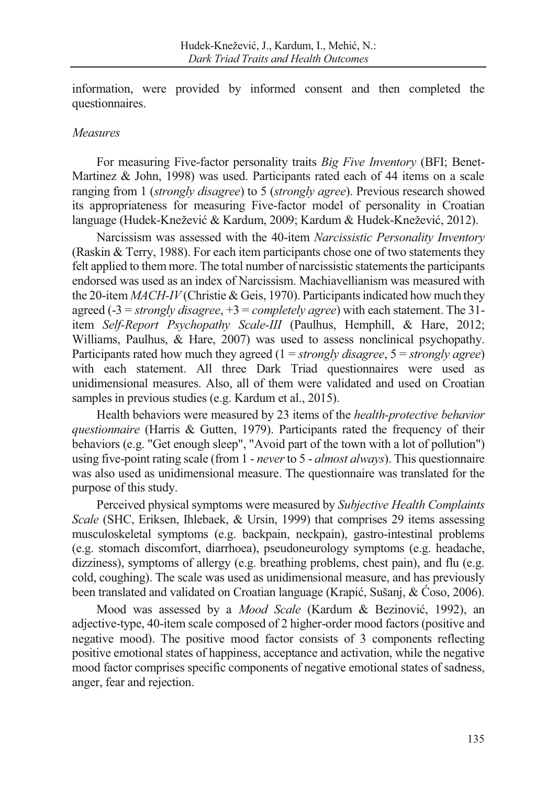information, were provided by informed consent and then completed the questionnaires.

## *Measures*

For measuring Five-factor personality traits *Big Five Inventory* (BFI; Benet-Martinez & John, 1998) was used. Participants rated each of 44 items on a scale ranging from 1 (*strongly disagree*) to 5 (*strongly agree*). Previous research showed its appropriateness for measuring Five-factor model of personality in Croatian language (Hudek-Knežević & Kardum, 2009; Kardum & Hudek-Knežević, 2012).

Narcissism was assessed with the 40-item *Narcissistic Personality Inventory* (Raskin & Terry, 1988). For each item participants chose one of two statements they felt applied to them more. The total number of narcissistic statements the participants endorsed was used as an index of Narcissism. Machiavellianism was measured with the 20-item *MACH-IV* (Christie & Geis, 1970). Participants indicated how much they agreed (-3 = *strongly disagree*, +3 = *completely agree*) with each statement. The 31 item *Self-Report Psychopathy Scale-III* (Paulhus, Hemphill, & Hare, 2012; Williams, Paulhus, & Hare, 2007) was used to assess nonclinical psychopathy. Participants rated how much they agreed (1 = *strongly disagree*, 5 = *strongly agree*) with each statement. All three Dark Triad questionnaires were used as unidimensional measures. Also, all of them were validated and used on Croatian samples in previous studies (e.g. Kardum et al., 2015).

Health behaviors were measured by 23 items of the *health-protective behavior questionnaire* (Harris & Gutten, 1979). Participants rated the frequency of their behaviors (e.g. "Get enough sleep", "Avoid part of the town with a lot of pollution") using five-point rating scale (from 1 - *never* to 5 - *almost always*). This questionnaire was also used as unidimensional measure. The questionnaire was translated for the purpose of this study.

Perceived physical symptoms were measured by *Subjective Health Complaints Scale* (SHC, Eriksen, Ihlebaek, & Ursin, 1999) that comprises 29 items assessing musculoskeletal symptoms (e.g. backpain, neckpain), gastro-intestinal problems (e.g. stomach discomfort, diarrhoea), pseudoneurology symptoms (e.g. headache, dizziness), symptoms of allergy (e.g. breathing problems, chest pain), and flu (e.g. cold, coughing). The scale was used as unidimensional measure, and has previously been translated and validated on Croatian language (Krapić, Sušanj, & Ćoso, 2006).

Mood was assessed by a *Mood Scale* (Kardum & Bezinović, 1992), an adjective-type, 40-item scale composed of 2 higher-order mood factors (positive and negative mood). The positive mood factor consists of 3 components reflecting positive emotional states of happiness, acceptance and activation, while the negative mood factor comprises specific components of negative emotional states of sadness, anger, fear and rejection.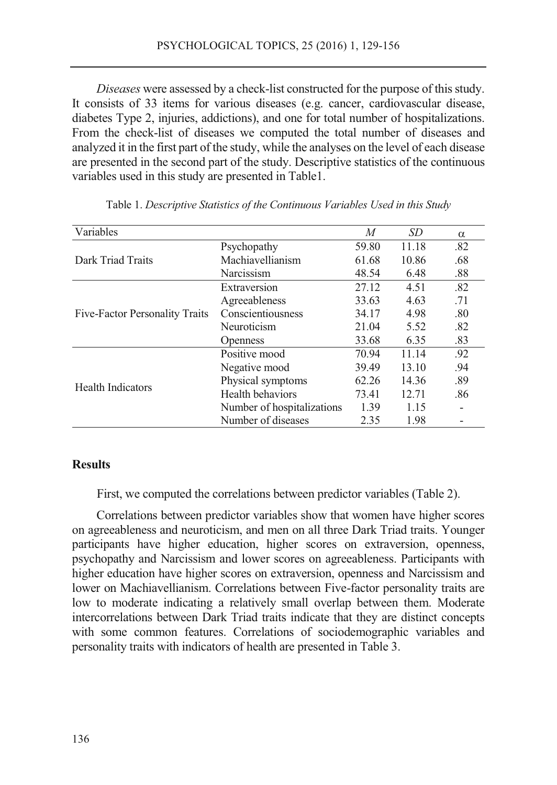*Diseases* were assessed by a check-list constructed for the purpose of this study. It consists of 33 items for various diseases (e.g. cancer, cardiovascular disease, diabetes Type 2, injuries, addictions), and one for total number of hospitalizations. From the check-list of diseases we computed the total number of diseases and analyzed it in the first part of the study, while the analyses on the level of each disease are presented in the second part of the study. Descriptive statistics of the continuous variables used in this study are presented in Table1.

| Variables                      |                            | M     | SD    | $\alpha$ |
|--------------------------------|----------------------------|-------|-------|----------|
|                                | Psychopathy                | 59.80 | 11.18 | .82      |
| Dark Triad Traits              | Machiavellianism           | 61.68 | 10.86 | .68      |
|                                | Narcissism                 | 48.54 | 6.48  | .88      |
|                                | Extraversion               | 27.12 | 4.51  | .82      |
|                                | Agreeableness              | 33.63 | 4.63  | .71      |
| Five-Factor Personality Traits | Conscientiousness          | 34.17 | 4.98  | .80      |
|                                | Neuroticism                | 21.04 | 5.52  | .82      |
|                                | <b>Openness</b>            | 33.68 | 6.35  | .83      |
|                                | Positive mood              | 70.94 | 11.14 | .92      |
|                                | Negative mood              | 39.49 | 13.10 | .94      |
| <b>Health Indicators</b>       | Physical symptoms          | 62.26 | 14.36 | .89      |
|                                | Health behaviors           | 73.41 | 12.71 | .86      |
|                                | Number of hospitalizations | 1.39  | 1.15  |          |
|                                | Number of diseases         | 2.35  | 1.98  |          |

Table 1. *Descriptive Statistics of the Continuous Variables Used in this Study*

## **Results**

First, we computed the correlations between predictor variables (Table 2).

Correlations between predictor variables show that women have higher scores on agreeableness and neuroticism, and men on all three Dark Triad traits. Younger participants have higher education, higher scores on extraversion, openness, psychopathy and Narcissism and lower scores on agreeableness. Participants with higher education have higher scores on extraversion, openness and Narcissism and lower on Machiavellianism. Correlations between Five-factor personality traits are low to moderate indicating a relatively small overlap between them. Moderate intercorrelations between Dark Triad traits indicate that they are distinct concepts with some common features. Correlations of sociodemographic variables and personality traits with indicators of health are presented in Table 3.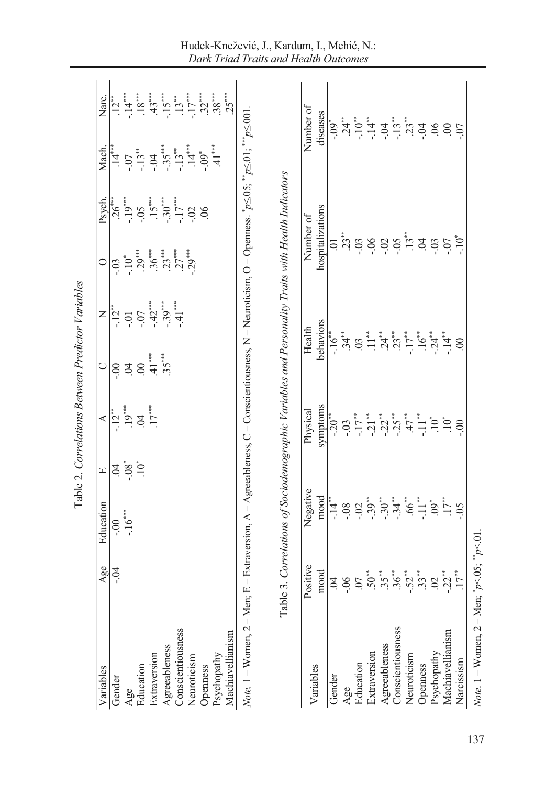|                                 |                                                                                                                                                                                                                                                                                                                                                 |                                                                                                                                                                                                                                                                                                           |                                                         | Table 2. Correlations Between Predictor Variables |                                                                                                                                                                                                                                                                                                                                                                                                     |                                                                                 |                                                                                                                                                                                                                                                                                           |                                                                                        |                                                                                                                                        |                                                                                                                                                                                                                                                                                                                                                                                                                                                                                                                                                                                                                                                                                                                |
|---------------------------------|-------------------------------------------------------------------------------------------------------------------------------------------------------------------------------------------------------------------------------------------------------------------------------------------------------------------------------------------------|-----------------------------------------------------------------------------------------------------------------------------------------------------------------------------------------------------------------------------------------------------------------------------------------------------------|---------------------------------------------------------|---------------------------------------------------|-----------------------------------------------------------------------------------------------------------------------------------------------------------------------------------------------------------------------------------------------------------------------------------------------------------------------------------------------------------------------------------------------------|---------------------------------------------------------------------------------|-------------------------------------------------------------------------------------------------------------------------------------------------------------------------------------------------------------------------------------------------------------------------------------------|----------------------------------------------------------------------------------------|----------------------------------------------------------------------------------------------------------------------------------------|----------------------------------------------------------------------------------------------------------------------------------------------------------------------------------------------------------------------------------------------------------------------------------------------------------------------------------------------------------------------------------------------------------------------------------------------------------------------------------------------------------------------------------------------------------------------------------------------------------------------------------------------------------------------------------------------------------------|
| Variables                       | Age                                                                                                                                                                                                                                                                                                                                             | Education                                                                                                                                                                                                                                                                                                 | $\Xi$                                                   |                                                   | $\bigcirc$                                                                                                                                                                                                                                                                                                                                                                                          |                                                                                 | 0                                                                                                                                                                                                                                                                                         | Psych.                                                                                 | Mach.                                                                                                                                  | Narc.                                                                                                                                                                                                                                                                                                                                                                                                                                                                                                                                                                                                                                                                                                          |
| Gender                          | $-9.4$                                                                                                                                                                                                                                                                                                                                          |                                                                                                                                                                                                                                                                                                           |                                                         | $rac{A}{12}$<br>$\frac{1}{19}$ $\frac{3}{17}$     |                                                                                                                                                                                                                                                                                                                                                                                                     |                                                                                 |                                                                                                                                                                                                                                                                                           |                                                                                        |                                                                                                                                        |                                                                                                                                                                                                                                                                                                                                                                                                                                                                                                                                                                                                                                                                                                                |
|                                 |                                                                                                                                                                                                                                                                                                                                                 | $-0.00$<br>$-1.6$                                                                                                                                                                                                                                                                                         | $\frac{1}{2}$ $\frac{1}{2}$ $\frac{1}{2}$ $\frac{1}{2}$ |                                                   |                                                                                                                                                                                                                                                                                                                                                                                                     |                                                                                 |                                                                                                                                                                                                                                                                                           |                                                                                        |                                                                                                                                        |                                                                                                                                                                                                                                                                                                                                                                                                                                                                                                                                                                                                                                                                                                                |
| Age<br>Education                |                                                                                                                                                                                                                                                                                                                                                 |                                                                                                                                                                                                                                                                                                           |                                                         |                                                   |                                                                                                                                                                                                                                                                                                                                                                                                     |                                                                                 |                                                                                                                                                                                                                                                                                           |                                                                                        |                                                                                                                                        |                                                                                                                                                                                                                                                                                                                                                                                                                                                                                                                                                                                                                                                                                                                |
| Extraversion                    |                                                                                                                                                                                                                                                                                                                                                 |                                                                                                                                                                                                                                                                                                           |                                                         |                                                   | $\frac{1}{6}$<br>$\frac{3}{4}$<br>$\frac{4}{4}$<br>$\frac{5}{4}$<br>$\frac{5}{4}$<br>$\frac{5}{4}$<br>$\frac{5}{4}$                                                                                                                                                                                                                                                                                 | $\frac{X}{-12}$<br>$-0.07$<br>$-0.07$<br>$-0.30$<br>$-0.30$<br>$-1.1$<br>$-1.1$ | $\overline{-10^*}$<br>$\overline{-10^*}$<br>$\overline{30^*}$<br>$\overline{30^*}$<br>$\overline{30^*}$<br>$\overline{21^*}$<br>$\overline{22^*}$                                                                                                                                         |                                                                                        | $\begin{array}{c}\n14 \rightarrow 0 \\ -07 \rightarrow 0 \\ -13 \rightarrow 0 \\ -35 \rightarrow 13 \\ -14 \rightarrow 0\n\end{array}$ |                                                                                                                                                                                                                                                                                                                                                                                                                                                                                                                                                                                                                                                                                                                |
| Agreeableness                   |                                                                                                                                                                                                                                                                                                                                                 |                                                                                                                                                                                                                                                                                                           |                                                         |                                                   |                                                                                                                                                                                                                                                                                                                                                                                                     |                                                                                 |                                                                                                                                                                                                                                                                                           |                                                                                        |                                                                                                                                        |                                                                                                                                                                                                                                                                                                                                                                                                                                                                                                                                                                                                                                                                                                                |
| Conscientiousness               |                                                                                                                                                                                                                                                                                                                                                 |                                                                                                                                                                                                                                                                                                           |                                                         |                                                   |                                                                                                                                                                                                                                                                                                                                                                                                     |                                                                                 |                                                                                                                                                                                                                                                                                           |                                                                                        |                                                                                                                                        |                                                                                                                                                                                                                                                                                                                                                                                                                                                                                                                                                                                                                                                                                                                |
| Neuroticism                     |                                                                                                                                                                                                                                                                                                                                                 |                                                                                                                                                                                                                                                                                                           |                                                         |                                                   |                                                                                                                                                                                                                                                                                                                                                                                                     |                                                                                 |                                                                                                                                                                                                                                                                                           | $26$<br>$-19$<br>$-19$<br>$-15$<br>$-17$<br>$-17$<br>$-17$<br>$-17$<br>$-17$<br>$-102$ |                                                                                                                                        |                                                                                                                                                                                                                                                                                                                                                                                                                                                                                                                                                                                                                                                                                                                |
| Openness                        |                                                                                                                                                                                                                                                                                                                                                 |                                                                                                                                                                                                                                                                                                           |                                                         |                                                   |                                                                                                                                                                                                                                                                                                                                                                                                     |                                                                                 |                                                                                                                                                                                                                                                                                           |                                                                                        | $-0.09$                                                                                                                                |                                                                                                                                                                                                                                                                                                                                                                                                                                                                                                                                                                                                                                                                                                                |
| Machiavellianism<br>Psychopathy |                                                                                                                                                                                                                                                                                                                                                 |                                                                                                                                                                                                                                                                                                           |                                                         |                                                   |                                                                                                                                                                                                                                                                                                                                                                                                     |                                                                                 |                                                                                                                                                                                                                                                                                           |                                                                                        | $41$ **                                                                                                                                | $\begin{array}{c} 1.12 \rightarrow \\ -14 \rightarrow \\ -18 \rightarrow \\ -15 \rightarrow \\ -15 \rightarrow \\ -15 \rightarrow \\ -15 \rightarrow \\ -15 \rightarrow \\ -15 \rightarrow \\ -15 \rightarrow \\ -15 \rightarrow \\ -15 \rightarrow \\ -15 \rightarrow \\ -15 \rightarrow \\ -15 \rightarrow \\ -15 \rightarrow \\ -15 \rightarrow \\ -15 \rightarrow \\ -15 \rightarrow \\ -15 \rightarrow \\ -15 \rightarrow \\ -15 \rightarrow \\ -15 \rightarrow \\ -15 \rightarrow \\ -15 \rightarrow \\ -15 \rightarrow \\ -15 \rightarrow \\ -15 \rightarrow \\ -15 \rightarrow \\ -15 \rightarrow \\ -15 \rightarrow \\ -15 \rightarrow \\ -15 \rightarrow \\ -15 \rightarrow \\ -15 \rightarrow \\ -$ |
| $Note. 1 - W$ omen, $2 - M$ en; | Table                                                                                                                                                                                                                                                                                                                                           | E - Extraversion, A - Agreeableness, C - Conscientiousness, N - Neuroticism, O - Openness. $p \le 0.05$ ; $*_{p \le 0.01}$ ; $*_{p \le 0.01}$<br>3. Correlations of Sociodemographic Variables and Personality Traits with Health Indicators                                                              |                                                         |                                                   |                                                                                                                                                                                                                                                                                                                                                                                                     |                                                                                 |                                                                                                                                                                                                                                                                                           |                                                                                        |                                                                                                                                        |                                                                                                                                                                                                                                                                                                                                                                                                                                                                                                                                                                                                                                                                                                                |
|                                 | <b>ositive</b><br>≏                                                                                                                                                                                                                                                                                                                             | Negative                                                                                                                                                                                                                                                                                                  |                                                         | Physical                                          |                                                                                                                                                                                                                                                                                                                                                                                                     | Health                                                                          | Number of                                                                                                                                                                                                                                                                                 |                                                                                        |                                                                                                                                        | Number of                                                                                                                                                                                                                                                                                                                                                                                                                                                                                                                                                                                                                                                                                                      |
| Variables                       | mood                                                                                                                                                                                                                                                                                                                                            | mood                                                                                                                                                                                                                                                                                                      |                                                         | symptoms                                          |                                                                                                                                                                                                                                                                                                                                                                                                     | pehaviors                                                                       | hospitalizations                                                                                                                                                                                                                                                                          |                                                                                        |                                                                                                                                        | diseases                                                                                                                                                                                                                                                                                                                                                                                                                                                                                                                                                                                                                                                                                                       |
| Gender                          | $\dot{5}$                                                                                                                                                                                                                                                                                                                                       |                                                                                                                                                                                                                                                                                                           |                                                         |                                                   |                                                                                                                                                                                                                                                                                                                                                                                                     |                                                                                 |                                                                                                                                                                                                                                                                                           |                                                                                        |                                                                                                                                        |                                                                                                                                                                                                                                                                                                                                                                                                                                                                                                                                                                                                                                                                                                                |
| Age                             |                                                                                                                                                                                                                                                                                                                                                 | $\frac{1}{1}$ = $\frac{1}{1}$ = $\frac{1}{1}$ = $\frac{1}{1}$ = $\frac{1}{1}$ = $\frac{1}{1}$ = $\frac{1}{1}$ = $\frac{1}{1}$ = $\frac{1}{1}$ = $\frac{1}{1}$ = $\frac{1}{1}$ = $\frac{1}{1}$ = $\frac{1}{1}$ = $\frac{1}{1}$ = $\frac{1}{1}$ = $\frac{1}{1}$ = $\frac{1}{1}$ = $\frac{1}{1}$ = $\frac{1$ |                                                         |                                                   | $\frac{1}{10} + \frac{1}{3} + \frac{1}{3} + \frac{1}{3} + \frac{1}{3} + \frac{1}{3} + \frac{1}{3} + \frac{1}{3} + \frac{1}{3} + \frac{1}{3} + \frac{1}{3} + \frac{1}{3} + \frac{1}{3} + \frac{1}{3} + \frac{1}{3} + \frac{1}{3} + \frac{1}{3} + \frac{1}{3} + \frac{1}{3} + \frac{1}{3} + \frac{1}{3} + \frac{1}{3} + \frac{1}{3} + \frac{1}{3} + \frac{1}{3} + \frac{1}{3} + \frac{1}{3} + \frac{$ |                                                                                 | $\Xi$ $\stackrel{*}{\Omega}$ $\stackrel{3}{\Omega}$ $\stackrel{3}{\Omega}$ $\stackrel{4}{\Omega}$ $\stackrel{4}{\Omega}$ $\stackrel{4}{\Omega}$ $\stackrel{4}{\Omega}$ $\stackrel{4}{\Omega}$ $\stackrel{5}{\Omega}$ $\stackrel{6}{\Omega}$ $\stackrel{6}{\Omega}$ $\stackrel{7}{\Omega}$ |                                                                                        |                                                                                                                                        | $-0.5$<br>$-0.5$<br>$-0.5$<br>$-0.5$<br>$-0.5$<br>$-0.5$<br>$-0.5$<br>$-0.5$<br>$-0.5$<br>$-0.5$<br>$-0.5$<br>$-0.5$                                                                                                                                                                                                                                                                                                                                                                                                                                                                                                                                                                                           |
| Education                       |                                                                                                                                                                                                                                                                                                                                                 |                                                                                                                                                                                                                                                                                                           |                                                         |                                                   |                                                                                                                                                                                                                                                                                                                                                                                                     |                                                                                 |                                                                                                                                                                                                                                                                                           |                                                                                        |                                                                                                                                        |                                                                                                                                                                                                                                                                                                                                                                                                                                                                                                                                                                                                                                                                                                                |
| Extraversion                    |                                                                                                                                                                                                                                                                                                                                                 |                                                                                                                                                                                                                                                                                                           |                                                         |                                                   |                                                                                                                                                                                                                                                                                                                                                                                                     |                                                                                 |                                                                                                                                                                                                                                                                                           |                                                                                        |                                                                                                                                        |                                                                                                                                                                                                                                                                                                                                                                                                                                                                                                                                                                                                                                                                                                                |
| Agreeableness                   |                                                                                                                                                                                                                                                                                                                                                 |                                                                                                                                                                                                                                                                                                           |                                                         |                                                   |                                                                                                                                                                                                                                                                                                                                                                                                     |                                                                                 |                                                                                                                                                                                                                                                                                           |                                                                                        |                                                                                                                                        |                                                                                                                                                                                                                                                                                                                                                                                                                                                                                                                                                                                                                                                                                                                |
| Conscientiousness               |                                                                                                                                                                                                                                                                                                                                                 |                                                                                                                                                                                                                                                                                                           |                                                         |                                                   |                                                                                                                                                                                                                                                                                                                                                                                                     |                                                                                 |                                                                                                                                                                                                                                                                                           |                                                                                        |                                                                                                                                        |                                                                                                                                                                                                                                                                                                                                                                                                                                                                                                                                                                                                                                                                                                                |
| Neuroticism                     |                                                                                                                                                                                                                                                                                                                                                 |                                                                                                                                                                                                                                                                                                           |                                                         |                                                   |                                                                                                                                                                                                                                                                                                                                                                                                     |                                                                                 |                                                                                                                                                                                                                                                                                           |                                                                                        |                                                                                                                                        |                                                                                                                                                                                                                                                                                                                                                                                                                                                                                                                                                                                                                                                                                                                |
| Openness                        | $\frac{1}{2} \sum_{i=1}^{4} \sum_{j=1}^{4} \sum_{j=1}^{4} \sum_{j=1}^{4} \sum_{j=1}^{4} \sum_{j=1}^{4} \sum_{j=1}^{4} \sum_{j=1}^{4} \sum_{j=1}^{4} \sum_{j=1}^{4} \sum_{j=1}^{4} \sum_{j=1}^{4} \sum_{j=1}^{4} \sum_{j=1}^{4} \sum_{j=1}^{4} \sum_{j=1}^{4} \sum_{j=1}^{4} \sum_{j=1}^{4} \sum_{j=1}^{4} \sum_{j=1}^{4} \sum_{j=1}^{4} \sum_{$ |                                                                                                                                                                                                                                                                                                           |                                                         |                                                   |                                                                                                                                                                                                                                                                                                                                                                                                     |                                                                                 |                                                                                                                                                                                                                                                                                           |                                                                                        |                                                                                                                                        |                                                                                                                                                                                                                                                                                                                                                                                                                                                                                                                                                                                                                                                                                                                |
| Psychopathy                     |                                                                                                                                                                                                                                                                                                                                                 | $.9^{*}$<br>$.17^{**}$                                                                                                                                                                                                                                                                                    |                                                         |                                                   |                                                                                                                                                                                                                                                                                                                                                                                                     |                                                                                 |                                                                                                                                                                                                                                                                                           |                                                                                        |                                                                                                                                        |                                                                                                                                                                                                                                                                                                                                                                                                                                                                                                                                                                                                                                                                                                                |
| Machiavellianism                |                                                                                                                                                                                                                                                                                                                                                 |                                                                                                                                                                                                                                                                                                           |                                                         |                                                   |                                                                                                                                                                                                                                                                                                                                                                                                     |                                                                                 |                                                                                                                                                                                                                                                                                           |                                                                                        |                                                                                                                                        |                                                                                                                                                                                                                                                                                                                                                                                                                                                                                                                                                                                                                                                                                                                |
| Narcissism                      |                                                                                                                                                                                                                                                                                                                                                 | $\ddot{5}$                                                                                                                                                                                                                                                                                                |                                                         |                                                   | $\infty$                                                                                                                                                                                                                                                                                                                                                                                            |                                                                                 |                                                                                                                                                                                                                                                                                           |                                                                                        |                                                                                                                                        |                                                                                                                                                                                                                                                                                                                                                                                                                                                                                                                                                                                                                                                                                                                |
| $Note. 1 - W$ omen, $2 - Men$ ; | $p<0.05$ ; $p<0.01$                                                                                                                                                                                                                                                                                                                             |                                                                                                                                                                                                                                                                                                           |                                                         |                                                   |                                                                                                                                                                                                                                                                                                                                                                                                     |                                                                                 |                                                                                                                                                                                                                                                                                           |                                                                                        |                                                                                                                                        |                                                                                                                                                                                                                                                                                                                                                                                                                                                                                                                                                                                                                                                                                                                |

## Hudek-Knežević, J., Kardum, I., Mehić, N.: *Dark Triad Traits and Health Outcomes*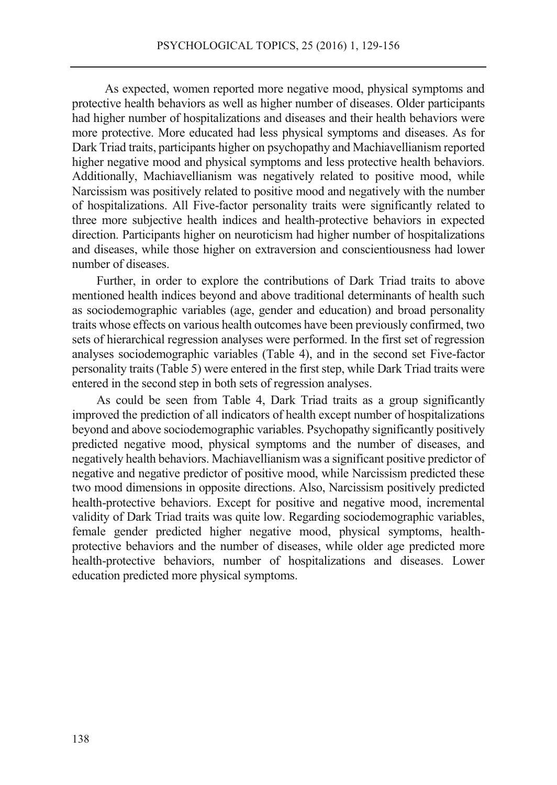As expected, women reported more negative mood, physical symptoms and protective health behaviors as well as higher number of diseases. Older participants had higher number of hospitalizations and diseases and their health behaviors were more protective. More educated had less physical symptoms and diseases. As for Dark Triad traits, participants higher on psychopathy and Machiavellianism reported higher negative mood and physical symptoms and less protective health behaviors. Additionally, Machiavellianism was negatively related to positive mood, while Narcissism was positively related to positive mood and negatively with the number of hospitalizations. All Five-factor personality traits were significantly related to three more subjective health indices and health-protective behaviors in expected direction. Participants higher on neuroticism had higher number of hospitalizations and diseases, while those higher on extraversion and conscientiousness had lower number of diseases.

Further, in order to explore the contributions of Dark Triad traits to above mentioned health indices beyond and above traditional determinants of health such as sociodemographic variables (age, gender and education) and broad personality traits whose effects on various health outcomes have been previously confirmed, two sets of hierarchical regression analyses were performed. In the first set of regression analyses sociodemographic variables (Table 4), and in the second set Five-factor personality traits (Table 5) were entered in the first step, while Dark Triad traits were entered in the second step in both sets of regression analyses.

As could be seen from Table 4, Dark Triad traits as a group significantly improved the prediction of all indicators of health except number of hospitalizations beyond and above sociodemographic variables. Psychopathy significantly positively predicted negative mood, physical symptoms and the number of diseases, and negatively health behaviors. Machiavellianism was a significant positive predictor of negative and negative predictor of positive mood, while Narcissism predicted these two mood dimensions in opposite directions. Also, Narcissism positively predicted health-protective behaviors. Except for positive and negative mood, incremental validity of Dark Triad traits was quite low. Regarding sociodemographic variables, female gender predicted higher negative mood, physical symptoms, healthprotective behaviors and the number of diseases, while older age predicted more health-protective behaviors, number of hospitalizations and diseases. Lower education predicted more physical symptoms.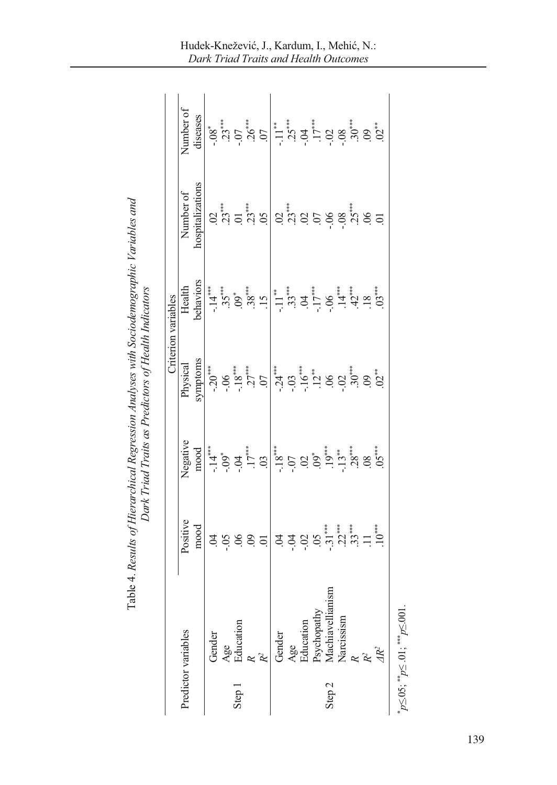|                   |                                   |             |                                                            |                                                   | Criterion variables                                                 |                                                                                                    |                                                                                                                                                                                                                                                                                                                                                                    |
|-------------------|-----------------------------------|-------------|------------------------------------------------------------|---------------------------------------------------|---------------------------------------------------------------------|----------------------------------------------------------------------------------------------------|--------------------------------------------------------------------------------------------------------------------------------------------------------------------------------------------------------------------------------------------------------------------------------------------------------------------------------------------------------------------|
|                   | Predictor variables               | Positive    | Negative                                                   | Physical                                          | Health                                                              | Number of                                                                                          | Number of                                                                                                                                                                                                                                                                                                                                                          |
|                   |                                   | mood        | mood                                                       | symptoms                                          | behaviors                                                           | hospitalizations                                                                                   | diseases                                                                                                                                                                                                                                                                                                                                                           |
|                   | Gender                            |             | $-14$                                                      | $-20***$                                          | $-14$                                                               |                                                                                                    |                                                                                                                                                                                                                                                                                                                                                                    |
|                   | Age<br>Education<br>$\frac{1}{R}$ |             |                                                            | $-0.06$                                           |                                                                     |                                                                                                    |                                                                                                                                                                                                                                                                                                                                                                    |
| Step 1            |                                   |             |                                                            | $-18***$                                          |                                                                     |                                                                                                    |                                                                                                                                                                                                                                                                                                                                                                    |
|                   |                                   | a a a a a a |                                                            | $27***$                                           |                                                                     |                                                                                                    |                                                                                                                                                                                                                                                                                                                                                                    |
|                   |                                   |             | $-0.09$<br>$-0.04$<br>$-17***$<br>$-17***$                 | $\overline{C}$                                    | $35\degree$<br>$38\degree$<br>$39\degree$<br>$15$                   | $\frac{2}{3}$<br>$\frac{1}{3}$<br>$\frac{1}{3}$<br>$\frac{1}{3}$<br>$\frac{1}{3}$<br>$\frac{1}{3}$ | $-38$<br>$-37$<br>$-36$<br>$-107$<br>$-107$                                                                                                                                                                                                                                                                                                                        |
|                   | Gender                            |             | $-18$<br>$-18$<br>$-15$                                    | $-24$<br>$-03$<br>$-16$<br>$-16$                  | $\overline{\phantom{a}}$ .                                          |                                                                                                    | $\begin{array}{l} \stackrel{***}{\phantom .} \stackrel{***}{\phantom .} \stackrel{***}{\phantom .} \stackrel{***}{\phantom .} \stackrel{***}{\phantom .} \stackrel{***}{\phantom .} \stackrel{***}{\phantom .} \stackrel{***}{\phantom .} \stackrel{***}{\phantom .} \stackrel{***}{\phantom .} \stackrel{***}{\phantom .} \stackrel{***}{\phantom .} \end{array}$ |
|                   | Age                               |             |                                                            |                                                   |                                                                     | $\frac{3}{2}$<br>$\frac{2}{3}$<br>$\frac{2}{3}$<br>$\frac{2}{3}$<br>$\frac{2}{3}$                  |                                                                                                                                                                                                                                                                                                                                                                    |
|                   |                                   |             | $\frac{02}{19}$ $\frac{1}{13}$ $\frac{1}{8}$ $\frac{1}{8}$ |                                                   |                                                                     |                                                                                                    |                                                                                                                                                                                                                                                                                                                                                                    |
|                   | Education<br>Psychopathy          |             |                                                            |                                                   |                                                                     |                                                                                                    |                                                                                                                                                                                                                                                                                                                                                                    |
| Step <sub>2</sub> | Aachiavellianism                  |             |                                                            |                                                   |                                                                     | $-0.06$                                                                                            |                                                                                                                                                                                                                                                                                                                                                                    |
|                   | Narcissism                        |             |                                                            |                                                   |                                                                     |                                                                                                    |                                                                                                                                                                                                                                                                                                                                                                    |
|                   |                                   |             |                                                            | $\frac{12}{3}$<br>$\frac{8}{3}$<br>$\frac{12}{3}$ | $33$<br>$-17$<br>$-16$<br>$-14$<br>$-12$<br>$-14$<br>$-12$<br>$-12$ | $.25***$<br>06                                                                                     |                                                                                                                                                                                                                                                                                                                                                                    |
|                   |                                   |             | .08                                                        | $-3.60$                                           |                                                                     |                                                                                                    |                                                                                                                                                                                                                                                                                                                                                                    |
|                   |                                   |             |                                                            |                                                   |                                                                     | $\overline{0}$                                                                                     |                                                                                                                                                                                                                                                                                                                                                                    |

Table 4. Results of Hierarchical Regression Analyses with Sociodemographic Variables and Table 4. *Results of Hierarchical Regression Analyses with Sociodemographic Variables and*  Dark Triad Traits as Predictors of Health Indicators *Dark Triad Traits as Predictors of Health Indicators* 

 $p \le 0.05$ ;  $p \le 0.01$ ;  $p \le 0.01$ .

\*

Hudek-Knežević, J., Kardum, I., Mehić, N.: *Dark Triad Traits and Health Outcomes*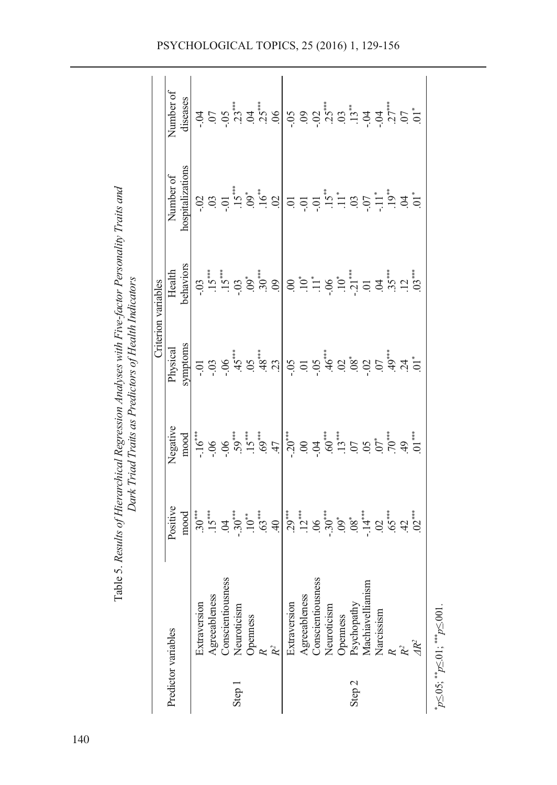|                     |                                                                                           |                                                                                                                                                                                                                                                                                                                                                                                                                                                  |                                                                                                                                                                                                                                                                                                                                   |                                                                                                                                                                                                                                                                                                                        | Criterion variables |                  |                                                                                                                                                                                                                                                                                                                     |
|---------------------|-------------------------------------------------------------------------------------------|--------------------------------------------------------------------------------------------------------------------------------------------------------------------------------------------------------------------------------------------------------------------------------------------------------------------------------------------------------------------------------------------------------------------------------------------------|-----------------------------------------------------------------------------------------------------------------------------------------------------------------------------------------------------------------------------------------------------------------------------------------------------------------------------------|------------------------------------------------------------------------------------------------------------------------------------------------------------------------------------------------------------------------------------------------------------------------------------------------------------------------|---------------------|------------------|---------------------------------------------------------------------------------------------------------------------------------------------------------------------------------------------------------------------------------------------------------------------------------------------------------------------|
| Predictor variables |                                                                                           | Positive                                                                                                                                                                                                                                                                                                                                                                                                                                         | Negative                                                                                                                                                                                                                                                                                                                          | Physical                                                                                                                                                                                                                                                                                                               | Health              | Number of        | Number of                                                                                                                                                                                                                                                                                                           |
|                     |                                                                                           | mood                                                                                                                                                                                                                                                                                                                                                                                                                                             | $_{\rm mood}$                                                                                                                                                                                                                                                                                                                     | symptoms                                                                                                                                                                                                                                                                                                               | behaviors           | hospitalizations | diseases                                                                                                                                                                                                                                                                                                            |
|                     | Extraversion                                                                              |                                                                                                                                                                                                                                                                                                                                                                                                                                                  |                                                                                                                                                                                                                                                                                                                                   |                                                                                                                                                                                                                                                                                                                        |                     |                  |                                                                                                                                                                                                                                                                                                                     |
|                     | Agreeableness                                                                             |                                                                                                                                                                                                                                                                                                                                                                                                                                                  |                                                                                                                                                                                                                                                                                                                                   |                                                                                                                                                                                                                                                                                                                        |                     |                  |                                                                                                                                                                                                                                                                                                                     |
|                     | <b>Conscientiousness</b>                                                                  |                                                                                                                                                                                                                                                                                                                                                                                                                                                  |                                                                                                                                                                                                                                                                                                                                   |                                                                                                                                                                                                                                                                                                                        |                     |                  |                                                                                                                                                                                                                                                                                                                     |
| Step 1              | Neuroticism                                                                               |                                                                                                                                                                                                                                                                                                                                                                                                                                                  |                                                                                                                                                                                                                                                                                                                                   |                                                                                                                                                                                                                                                                                                                        |                     |                  |                                                                                                                                                                                                                                                                                                                     |
|                     | Openness                                                                                  |                                                                                                                                                                                                                                                                                                                                                                                                                                                  |                                                                                                                                                                                                                                                                                                                                   |                                                                                                                                                                                                                                                                                                                        |                     |                  |                                                                                                                                                                                                                                                                                                                     |
|                     |                                                                                           |                                                                                                                                                                                                                                                                                                                                                                                                                                                  |                                                                                                                                                                                                                                                                                                                                   |                                                                                                                                                                                                                                                                                                                        |                     |                  |                                                                                                                                                                                                                                                                                                                     |
|                     | R <sup>2</sup>                                                                            |                                                                                                                                                                                                                                                                                                                                                                                                                                                  |                                                                                                                                                                                                                                                                                                                                   |                                                                                                                                                                                                                                                                                                                        |                     |                  |                                                                                                                                                                                                                                                                                                                     |
|                     | Extraversion                                                                              | $30 \overset{1}{\phantom{0}}\phantom{1}3 \overset{1}{\phantom{0}}\phantom{1}3 \overset{1}{\phantom{0}}\phantom{1}3 \overset{1}{\phantom{0}}\phantom{1}3 \overset{1}{\phantom{0}}\phantom{1}3 \overset{1}{\phantom{0}}\phantom{1}3 \overset{1}{\phantom{0}}\phantom{1}3 \overset{1}{\phantom{0}}\phantom{1}3 \overset{1}{\phantom{0}}\phantom{1}3 \overset{1}{\phantom{0}}\phantom{1}3 \overset{1}{\phantom{0}}\phantom{1}3 \overset{1}{\phantom$ | $\frac{1}{16} \text{cm} \begin{bmatrix} 6 & 0 & 0 & 0 & 0 \\ 0 & 0 & 0 & 0 & 0 \\ 0 & 0 & 0 & 0 & 0 \\ 0 & 0 & 0 & 0 & 0 \\ 0 & 0 & 0 & 0 & 0 \\ 0 & 0 & 0 & 0 & 0 \\ 0 & 0 & 0 & 0 & 0 \\ 0 & 0 & 0 & 0 & 0 \\ 0 & 0 & 0 & 0 & 0 \\ 0 & 0 & 0 & 0 & 0 \\ 0 & 0 & 0 & 0 & 0 \\ 0 & 0 & 0 & 0 & 0 \\ 0 & 0 & 0 & 0 & 0 \\ 0 & 0 &$ | $=$ $\frac{1}{2}$ $\frac{1}{2}$ $\frac{1}{2}$ $\frac{1}{2}$ $\frac{1}{2}$ $\frac{1}{2}$ $\frac{1}{2}$ $\frac{1}{2}$ $\frac{1}{2}$ $\frac{1}{2}$ $\frac{1}{2}$ $\frac{1}{2}$ $\frac{1}{2}$ $\frac{1}{2}$ $\frac{1}{2}$ $\frac{1}{2}$ $\frac{1}{2}$ $\frac{1}{2}$ $\frac{1}{2}$ $\frac{1}{2}$ $\frac{1}{2}$ $\frac{1}{2$ |                     |                  | $\frac{1}{2}$ $\frac{1}{2}$ $\frac{1}{2}$ $\frac{1}{2}$ $\frac{1}{3}$ $\frac{1}{4}$ $\frac{1}{3}$ $\frac{1}{3}$ $\frac{1}{6}$ $\frac{1}{6}$ $\frac{1}{6}$ $\frac{1}{6}$ $\frac{1}{6}$ $\frac{1}{6}$ $\frac{1}{6}$ $\frac{1}{6}$ $\frac{1}{6}$ $\frac{1}{6}$ $\frac{1}{6}$ $\frac{1}{6}$ $\frac{1}{6}$ $\frac{1}{6}$ |
|                     | Agreeableness                                                                             |                                                                                                                                                                                                                                                                                                                                                                                                                                                  |                                                                                                                                                                                                                                                                                                                                   |                                                                                                                                                                                                                                                                                                                        |                     |                  |                                                                                                                                                                                                                                                                                                                     |
|                     | ess<br>Conscientiousne                                                                    |                                                                                                                                                                                                                                                                                                                                                                                                                                                  |                                                                                                                                                                                                                                                                                                                                   |                                                                                                                                                                                                                                                                                                                        |                     |                  |                                                                                                                                                                                                                                                                                                                     |
|                     | Neuroticism                                                                               |                                                                                                                                                                                                                                                                                                                                                                                                                                                  |                                                                                                                                                                                                                                                                                                                                   |                                                                                                                                                                                                                                                                                                                        |                     |                  |                                                                                                                                                                                                                                                                                                                     |
|                     | Openness                                                                                  |                                                                                                                                                                                                                                                                                                                                                                                                                                                  |                                                                                                                                                                                                                                                                                                                                   |                                                                                                                                                                                                                                                                                                                        |                     |                  |                                                                                                                                                                                                                                                                                                                     |
| Step 2              | Psychopathy                                                                               |                                                                                                                                                                                                                                                                                                                                                                                                                                                  |                                                                                                                                                                                                                                                                                                                                   |                                                                                                                                                                                                                                                                                                                        |                     |                  |                                                                                                                                                                                                                                                                                                                     |
|                     | Machiavellianis                                                                           |                                                                                                                                                                                                                                                                                                                                                                                                                                                  |                                                                                                                                                                                                                                                                                                                                   |                                                                                                                                                                                                                                                                                                                        |                     |                  |                                                                                                                                                                                                                                                                                                                     |
|                     | Narcissism                                                                                |                                                                                                                                                                                                                                                                                                                                                                                                                                                  |                                                                                                                                                                                                                                                                                                                                   |                                                                                                                                                                                                                                                                                                                        |                     |                  |                                                                                                                                                                                                                                                                                                                     |
|                     |                                                                                           |                                                                                                                                                                                                                                                                                                                                                                                                                                                  |                                                                                                                                                                                                                                                                                                                                   |                                                                                                                                                                                                                                                                                                                        |                     |                  |                                                                                                                                                                                                                                                                                                                     |
|                     | $\mathcal{R}^2$                                                                           |                                                                                                                                                                                                                                                                                                                                                                                                                                                  |                                                                                                                                                                                                                                                                                                                                   |                                                                                                                                                                                                                                                                                                                        |                     |                  |                                                                                                                                                                                                                                                                                                                     |
|                     |                                                                                           |                                                                                                                                                                                                                                                                                                                                                                                                                                                  |                                                                                                                                                                                                                                                                                                                                   |                                                                                                                                                                                                                                                                                                                        |                     |                  |                                                                                                                                                                                                                                                                                                                     |
|                     | $p \le 0.05$ ; $\underset{\sim}{\ast} p \le 0.01$ ; $\underset{\sim}{\ast} p \le 0.001$ . |                                                                                                                                                                                                                                                                                                                                                                                                                                                  |                                                                                                                                                                                                                                                                                                                                   |                                                                                                                                                                                                                                                                                                                        |                     |                  |                                                                                                                                                                                                                                                                                                                     |

Table 5. Results of Hierarchical Regression Analyses with Five-factor Personality Traits and Table 5. *Results of Hierarchical Regression Analyses with Five-factor Personality Traits and Dark Triad Traits as Predictors of Health Indicators*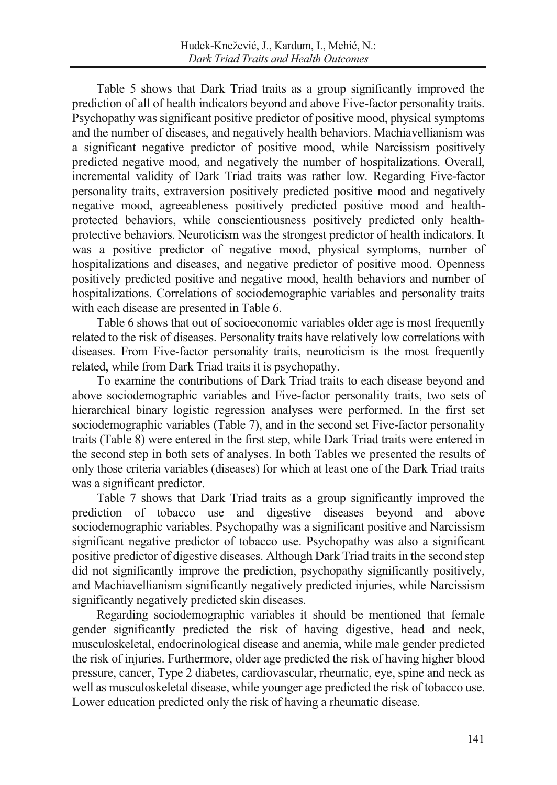Table 5 shows that Dark Triad traits as a group significantly improved the prediction of all of health indicators beyond and above Five-factor personality traits. Psychopathy was significant positive predictor of positive mood, physical symptoms and the number of diseases, and negatively health behaviors. Machiavellianism was a significant negative predictor of positive mood, while Narcissism positively predicted negative mood, and negatively the number of hospitalizations. Overall, incremental validity of Dark Triad traits was rather low. Regarding Five-factor personality traits, extraversion positively predicted positive mood and negatively negative mood, agreeableness positively predicted positive mood and healthprotected behaviors, while conscientiousness positively predicted only healthprotective behaviors. Neuroticism was the strongest predictor of health indicators. It was a positive predictor of negative mood, physical symptoms, number of hospitalizations and diseases, and negative predictor of positive mood. Openness positively predicted positive and negative mood, health behaviors and number of hospitalizations. Correlations of sociodemographic variables and personality traits with each disease are presented in Table 6.

Table 6 shows that out of socioeconomic variables older age is most frequently related to the risk of diseases. Personality traits have relatively low correlations with diseases. From Five-factor personality traits, neuroticism is the most frequently related, while from Dark Triad traits it is psychopathy.

To examine the contributions of Dark Triad traits to each disease beyond and above sociodemographic variables and Five-factor personality traits, two sets of hierarchical binary logistic regression analyses were performed. In the first set sociodemographic variables (Table 7), and in the second set Five-factor personality traits (Table 8) were entered in the first step, while Dark Triad traits were entered in the second step in both sets of analyses. In both Tables we presented the results of only those criteria variables (diseases) for which at least one of the Dark Triad traits was a significant predictor.

Table 7 shows that Dark Triad traits as a group significantly improved the prediction of tobacco use and digestive diseases beyond and above sociodemographic variables. Psychopathy was a significant positive and Narcissism significant negative predictor of tobacco use. Psychopathy was also a significant positive predictor of digestive diseases. Although Dark Triad traits in the second step did not significantly improve the prediction, psychopathy significantly positively, and Machiavellianism significantly negatively predicted injuries, while Narcissism significantly negatively predicted skin diseases.

Regarding sociodemographic variables it should be mentioned that female gender significantly predicted the risk of having digestive, head and neck, musculoskeletal, endocrinological disease and anemia, while male gender predicted the risk of injuries. Furthermore, older age predicted the risk of having higher blood pressure, cancer, Type 2 diabetes, cardiovascular, rheumatic, eye, spine and neck as well as musculoskeletal disease, while younger age predicted the risk of tobacco use. Lower education predicted only the risk of having a rheumatic disease.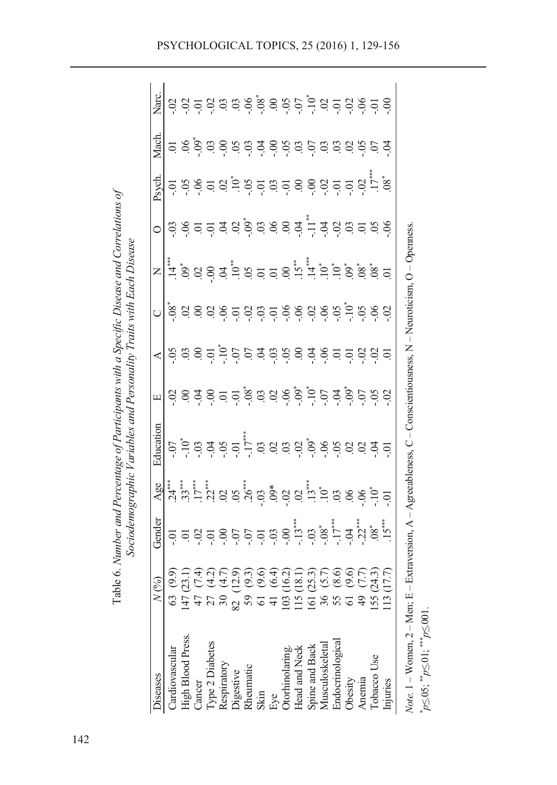| <b>Diseases</b>                                       | (%)                                                                                  | Gender        | Age | Education                                                                                            | Щ | ≺                                                                                                                                                                                                                                                                         | $\mathsf{z}$ |                                     | Psych.                                                                                                                                                                                                                                                                                                              | Mach.                                   | Narc.                                                                               |
|-------------------------------------------------------|--------------------------------------------------------------------------------------|---------------|-----|------------------------------------------------------------------------------------------------------|---|---------------------------------------------------------------------------------------------------------------------------------------------------------------------------------------------------------------------------------------------------------------------------|--------------|-------------------------------------|---------------------------------------------------------------------------------------------------------------------------------------------------------------------------------------------------------------------------------------------------------------------------------------------------------------------|-----------------------------------------|-------------------------------------------------------------------------------------|
| Cardiovascular                                        | 63                                                                                   |               |     |                                                                                                      |   |                                                                                                                                                                                                                                                                           | $.14**$      |                                     |                                                                                                                                                                                                                                                                                                                     |                                         |                                                                                     |
| High Blood Press.                                     |                                                                                      |               |     |                                                                                                      |   | 598                                                                                                                                                                                                                                                                       |              |                                     |                                                                                                                                                                                                                                                                                                                     |                                         |                                                                                     |
| Cancer                                                |                                                                                      |               |     |                                                                                                      |   |                                                                                                                                                                                                                                                                           |              |                                     |                                                                                                                                                                                                                                                                                                                     |                                         |                                                                                     |
| Type 2 Diabetes                                       | จิกิริสิกัลติดิริสิกัลติดิริ<br>อิทิศิริสิทิตอิลิลิทิติลิอิศ<br>$47$<br>$75$<br>$30$ | 55555         |     |                                                                                                      |   | $\frac{1}{2}$ $\frac{1}{2}$ $\frac{1}{2}$ $\frac{1}{2}$ $\frac{1}{2}$ $\frac{1}{3}$ $\frac{1}{4}$ $\frac{1}{3}$ $\frac{1}{2}$ $\frac{1}{3}$ $\frac{1}{2}$ $\frac{1}{3}$ $\frac{1}{2}$ $\frac{1}{3}$ $\frac{1}{2}$ $\frac{1}{3}$ $\frac{1}{2}$ $\frac{1}{3}$ $\frac{1}{2}$ |              | 8 8 8 8 8 8 8 8 8 8 7 7 8 8 8 8 8 9 | $\frac{1}{2}$ $\frac{1}{2}$ $\frac{1}{6}$ $\frac{1}{6}$ $\frac{1}{2}$ $\frac{1}{3}$ $\frac{1}{2}$ $\frac{1}{6}$ $\frac{1}{2}$ $\frac{1}{3}$ $\frac{1}{6}$ $\frac{1}{3}$ $\frac{1}{6}$ $\frac{1}{6}$ $\frac{1}{3}$ $\frac{1}{6}$ $\frac{1}{6}$ $\frac{1}{6}$ $\frac{1}{6}$ $\frac{1}{3}$ $\frac{1}{6}$ $\frac{1}{6}$ | 5 8 8 8 8 8 9 8 9 9 9 9 9 9 9 9 9 9 9 9 | $\frac{3}{5}$ $\frac{3}{5}$ $\frac{5}{5}$ $\frac{3}{5}$ $\frac{3}{5}$ $\frac{3}{5}$ |
| Respiratory<br>Digestive                              |                                                                                      |               |     |                                                                                                      |   |                                                                                                                                                                                                                                                                           |              |                                     |                                                                                                                                                                                                                                                                                                                     |                                         |                                                                                     |
|                                                       | $\infty$                                                                             |               |     |                                                                                                      |   |                                                                                                                                                                                                                                                                           |              |                                     |                                                                                                                                                                                                                                                                                                                     |                                         |                                                                                     |
| Rheumatic                                             |                                                                                      |               |     |                                                                                                      |   |                                                                                                                                                                                                                                                                           |              |                                     |                                                                                                                                                                                                                                                                                                                     |                                         |                                                                                     |
| Skin                                                  |                                                                                      |               |     |                                                                                                      |   |                                                                                                                                                                                                                                                                           |              |                                     |                                                                                                                                                                                                                                                                                                                     |                                         |                                                                                     |
| Eye                                                   |                                                                                      |               |     |                                                                                                      |   |                                                                                                                                                                                                                                                                           |              |                                     |                                                                                                                                                                                                                                                                                                                     |                                         |                                                                                     |
|                                                       |                                                                                      |               |     |                                                                                                      |   |                                                                                                                                                                                                                                                                           |              |                                     |                                                                                                                                                                                                                                                                                                                     |                                         |                                                                                     |
| Otorhinolaring.<br>Head and Neck                      |                                                                                      |               |     |                                                                                                      |   |                                                                                                                                                                                                                                                                           |              |                                     |                                                                                                                                                                                                                                                                                                                     |                                         |                                                                                     |
|                                                       | comparence                                                                           | $\frac{1}{2}$ |     |                                                                                                      |   |                                                                                                                                                                                                                                                                           |              |                                     |                                                                                                                                                                                                                                                                                                                     |                                         | $6.88$ $6.95$ $6.97$ $6.99$ $6.99$ $6.99$ $6.99$ $6.99$ $6.99$ $6.99$ $6.99$        |
| Spine and Back<br>Musculoskeletal<br>Endocrinological |                                                                                      |               |     |                                                                                                      |   |                                                                                                                                                                                                                                                                           |              |                                     |                                                                                                                                                                                                                                                                                                                     |                                         |                                                                                     |
|                                                       |                                                                                      |               |     |                                                                                                      |   |                                                                                                                                                                                                                                                                           |              |                                     |                                                                                                                                                                                                                                                                                                                     |                                         |                                                                                     |
| Obesity                                               |                                                                                      |               |     |                                                                                                      |   |                                                                                                                                                                                                                                                                           |              |                                     |                                                                                                                                                                                                                                                                                                                     |                                         |                                                                                     |
| Anemia                                                | $\overline{49}$                                                                      |               |     |                                                                                                      |   |                                                                                                                                                                                                                                                                           |              |                                     |                                                                                                                                                                                                                                                                                                                     |                                         |                                                                                     |
| Tobacco Use                                           | 155                                                                                  |               |     |                                                                                                      |   |                                                                                                                                                                                                                                                                           |              |                                     |                                                                                                                                                                                                                                                                                                                     |                                         |                                                                                     |
| Injuries                                              | (17.7)<br>13                                                                         |               |     |                                                                                                      |   |                                                                                                                                                                                                                                                                           |              |                                     |                                                                                                                                                                                                                                                                                                                     |                                         |                                                                                     |
| <i>Note</i> . $1 - W$ omen, $2 - M$ en; E             |                                                                                      |               |     | - Extraversion, $A - Agreeableness$ , $C - Constion is one as$ , $N - Neuroicism$ , $O - Openness$ . |   |                                                                                                                                                                                                                                                                           |              |                                     |                                                                                                                                                                                                                                                                                                                     |                                         |                                                                                     |

\*

 $p \le 0.05$ ;  $p \le 0.01$ ;  $p \le 0.001$ .

Table 6. Number and Percentage of Participants with a Specific Disease and Correlations of Table 6. *Number and Percentage of Participants with a Specific Disease and Correlations of*  Sociodemographic Variables and Personality Traits with Each Disease *Sociodemographic Variables and Personality Traits with Each Disease*  PSYCHOLOGICAL TOPICS, 25 (2016) 1, 129-156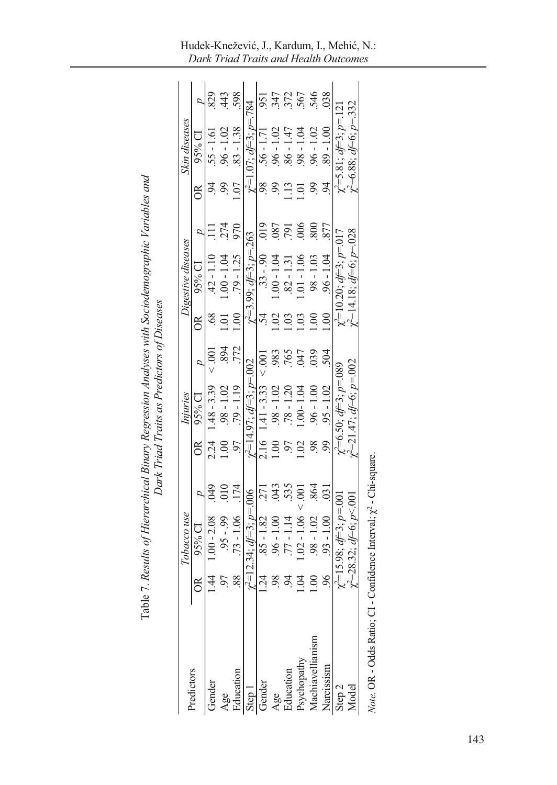|                      | Tabl |                                         |                  |      | Dark Triad Traits as Predictors of Diseases |          |               | e 7. Results of Hierarchical Binary Regression Analyses with Sociodemographic Variables and |               |                 |                                         |            |
|----------------------|------|-----------------------------------------|------------------|------|---------------------------------------------|----------|---------------|---------------------------------------------------------------------------------------------|---------------|-----------------|-----------------------------------------|------------|
| Predictors           |      | Tobacco use                             |                  |      | Injuries                                    |          |               | Digestive diseases                                                                          |               |                 | Skin diseases                           |            |
|                      | õ    | 95% CI                                  |                  | õŘ   | 95% CI                                      |          | $\frac{8}{2}$ | $95%$ CI                                                                                    |               | $\mathbb S$     | $95\%$ Cl                               |            |
| Gender               |      | $1.00 - 2.08$                           | $600$ .          | 2.24 | $1.48 - 3.39$                               |          |               | $.42 - 1.10$                                                                                |               |                 | $.55 - 1.61$                            | .829       |
| Age                  |      | $.95 - .99$                             |                  |      | $.98 - 1.02$                                |          |               | $1.00 - 1.04$                                                                               |               |                 | $.96 - 1.02$                            | .443       |
| Education            | 88.  | $.73 - 1.06$                            | .174             |      | $-79 - 1.19$                                | .772     | 1.00          | $.79 - 1.25$                                                                                | 970           | 1.07            | $.83 - 1.38$                            | 598        |
| Step 1               |      | $y^2=12.34$ ; $df=3$ ; $p=006$          |                  |      | $\gamma^2 = 14.97$ ; $d = 3$ ; $p = 002$    |          |               | $\chi^2 = 3.99$ ; $d = 3$ ; $p = 263$                                                       |               |                 | $\gamma^2 = 1.07$ ; $d = 3$ ; $p = 784$ |            |
| Gender               | 1.24 | $.85 - 1.82$                            |                  |      | $2.16$ 1.41 - 3.33 < .001                   |          |               | $.33 - .90$ 019                                                                             |               | 98              | $.56 - 1.71$                            | 951        |
| Age                  |      | $.96 - 1.00$                            | 043              |      | $.98 - 1.02$                                | 983      |               | $1.00 - 1.04$                                                                               | .087          |                 | $.96 - 1.02$                            | .347       |
| Education            |      | $.77 - 1.14$                            | 535              |      | $.78 - 1.20$                                | .765     |               | $.82 - 1.31$                                                                                | (62)          | $\Xi$           | $.86 - 1.47$                            | 372<br>567 |
| <b>Psychopathy</b>   |      | $.02 - 1.06$                            |                  |      | $0.00 - 1.04$                               | 04       |               | $0.1 - 1.06$                                                                                | $\frac{6}{2}$ |                 | $-1.04$                                 |            |
| Machiavellianism     |      | $.98 - 1.02$                            |                  |      | $.96 - 1.00$                                | $_{039}$ |               | $98 - 1.03$                                                                                 | 800           |                 | $96 - 1.02$                             | 546        |
| Narcissism           | 96   | $.93 - 1.00$                            | $\overline{031}$ | 99   | $.95 - 1.02$                                |          | $\frac{1}{2}$ | $.96 - 1.04$                                                                                |               | $\overline{94}$ | $.89 - 1.00$                            | 038        |
| Step <sub>2</sub>    |      | $\chi^2 = 15.98$ ; $d = 3$ ; $p = 001$  |                  |      | $\chi=6.50; d=3; p=089$                     |          |               | $\chi$ <sup><math>=</math></sup> 10.20; $d$ $=$ 3; $p$ =.017                                |               |                 | $\chi^2 = 5.81$ ; $d = 3$ ; $p = 12$    |            |
| Model                |      | $\chi^2 = 28.32$ ; $d = 6$ ; $p < 001$  |                  |      | $\chi^2 = 21.47$ ; $d = 6$ ; $p = 002$      |          |               | $\chi^2$ =14.18; $df=6$ ; $p$ =028                                                          |               |                 | $\chi^2$ =6.88; df=6; p=.332            |            |
| Note OP Odde Patie C |      | $Con$ fidance Interval: $a2$ Chi course |                  |      |                                             |          |               |                                                                                             |               |                 |                                         |            |

Confidence Interval;  $\chi^2$  - Chi-square. *Note.* OR - Odds Ratio; CI - Confidence Interval;  $\chi^2$  - Chi-square. Note. OR - Odds Ratio; C1 -

# Hudek-Knežević, J., Kardum, I., Mehić, N.: *Dark Triad Traits and Health Outcomes*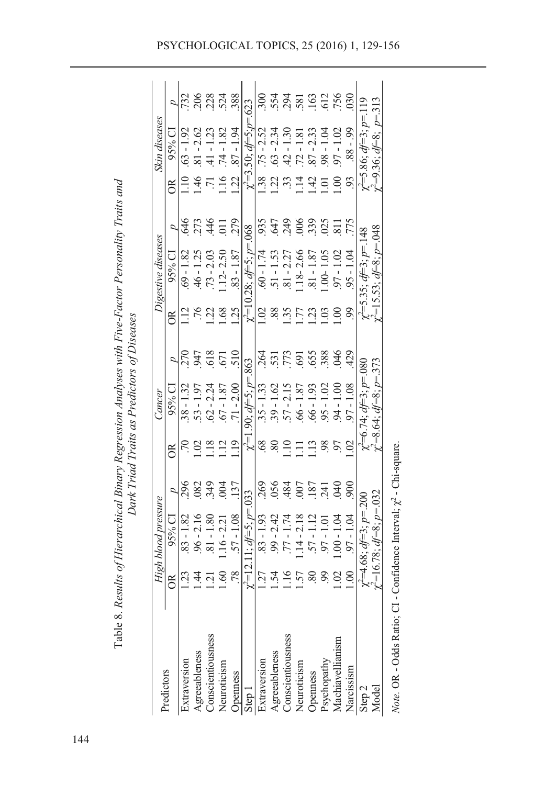| Predictors                                  |                    | High blood pressure                       |                 |               | Cancer                        |                  |                | Digestive diseases                       |                      |                | Skin diseases                     |      |
|---------------------------------------------|--------------------|-------------------------------------------|-----------------|---------------|-------------------------------|------------------|----------------|------------------------------------------|----------------------|----------------|-----------------------------------|------|
|                                             | රී                 | 95% CI                                    | ₽               | රී            | 95% Cl                        |                  | õ              | $95%$ CI                                 |                      | õ              | 95% CI                            |      |
| Extraversion                                | $\mathbf{\hat{c}}$ | $83 - 1.82$                               | 296             |               | $38 - 1.32$                   |                  |                | $69 - 1.82$                              | 846                  |                | $.63 - 1.92$                      |      |
| Agreeableness<br>Conscientiousness          | 4.                 | $96 - 2.16$                               | 082             |               | $53 - 1$                      | 947              |                | $-1.25$                                  | ς                    | $\ddot{ }$     | $-2.62$                           |      |
|                                             | $\epsilon$         | $\frac{80}{2}$<br>$\overline{1}$<br>ವ     | 349             |               | $62 - 2.24$                   | 618              | 22             | $.73 - 2.03$                             | $\frac{4}{3}$        |                | $\overline{\phantom{a}}$          | 228  |
| Neuroticism                                 | .60                | $116 - 2.2$                               |                 | י<br>ד        | $.67 - 1.87$                  | 671              | .68            | $.12 - 2.50$                             |                      | $\frac{16}{1}$ | $\frac{8}{1}$<br>74 - 1           | .524 |
| <b>Openness</b>                             | .78                | $.57 - 1.08$                              | .137            | $\ddot{ }$    | $71 - 2.00$                   | $\frac{510}{5}$  | 25             | $.83 - 1.87$                             | 279                  | Si             | $-1.94$                           | 388  |
| Step 1                                      |                    | $\chi^2$ =12.11; $d$ f=5; $\nu$ =.033     |                 |               | $\chi'=1.90; d \neq 5; p=863$ |                  |                | $\gamma^2 = 10.28$ ; $d = 5$ ; $p = 068$ |                      |                | $\gamma^2 = 3.50$ ; df=5:p=.      | 623  |
| Extraversion                                | .27                | $.83 - 1.93$                              | 269             | $\frac{8}{3}$ | $35 - 1.33$                   | 264              |                | $.60 - 1.74$                             | 935                  | 38             | $.75 - 2.52$                      |      |
|                                             |                    | 2.42<br>99                                | .056            | $\mathscr{S}$ | <u>C</u><br>$.39 - 1$         | 531              | .88            | - 53<br>-<br>$-1$                        | 647                  | Sc             | $.63 - 2.34$                      | 554  |
| Agreeableness<br>Conscientiousness          |                    | Ŀ                                         | 484             | $\vec{.}$     | $-213$                        | $\tilde{z}$<br>ŕ | $\ddot{35}$    | $-2.2$                                   | 249                  | ر<br>د         | ్<br>ーブナ                          | 294  |
| Neuroticism                                 | ر.<br>`            | $\bar{4}$                                 |                 |               | $-99$ .                       | 69'              | ŗ              | $.18 - 2.6$                              | Š                    | $\vec{.}$      | $\frac{8}{1}$<br>$-71$            | 58   |
|                                             |                    |                                           | 18 <sup>7</sup> | $\Xi$         | 193<br>$-99$ .                | 655              | S              | $\overline{1}$                           | 339                  | 1.42           | ر<br>2.3<br>Ě                     | 163  |
| Openness<br>Psychopathy<br>Machiavellianism |                    | 1                                         | 24              | 98            | $\mathbf{I}$                  | .388             | $\overline{0}$ | $-00 - 1$                                | $\widetilde{\omega}$ |                | $-18$                             |      |
|                                             |                    | $\overline{\phantom{a}}$<br>$\frac{1}{2}$ | $\widetilde{A}$ |               | $-1$                          | š                | š              | ī<br>97                                  |                      |                | $-1.02$                           | 756  |
| Narcissism                                  | $\odot$            | ट<br>न<br>- 16                            | 800             | $\odot$       | $\frac{80}{1}$<br>- 16        | 429              | 99             | $95 - 1$                                 | 775                  | S,             | $66 - 88$                         | 30   |
| Step 2                                      |                    | $\ell = 4.68; df = 3; p = 200$            |                 |               | $\chi$ =6.74; $d=3$ ; $p=080$ |                  |                | $\gamma = 5.35$ ; $d = 3$ ; $p = 148$    |                      |                | $\chi^2 = 5.86$ ; $d = 3$ ; $p =$ |      |
| Model                                       |                    | $\gamma^2 = 16.78$ ; $df = 8$ ; $p = 032$ |                 |               | $y^2=8.64$ ; $df=8$ ; $p=373$ |                  |                | $\ell = 15.53$ ; $d = 8$ ; $p = 048$     |                      |                | $l^2=9.36$ ; $d=8$ ; $p=31$       |      |
|                                             |                    |                                           |                 |               |                               |                  |                |                                          |                      |                |                                   |      |

Table 8. Results of Hierarchical Binary Regression Analyses with Five-Factor Personality Traits and Table 8. *Results of Hierarchical Binary Regression Analyses with Five-Factor Personality Traits and*  Dark Triad Traits as Predictors of Diseases *Dark Triad Traits as Predictors of Diseases*

Note. OR - Odds Ratio; CI - Confidence Interval;  $\chi^2$  - Chi-square. Note. OR - Odds Ratio; CI - Confidence Interval;  $\chi^2$  - Chi-square.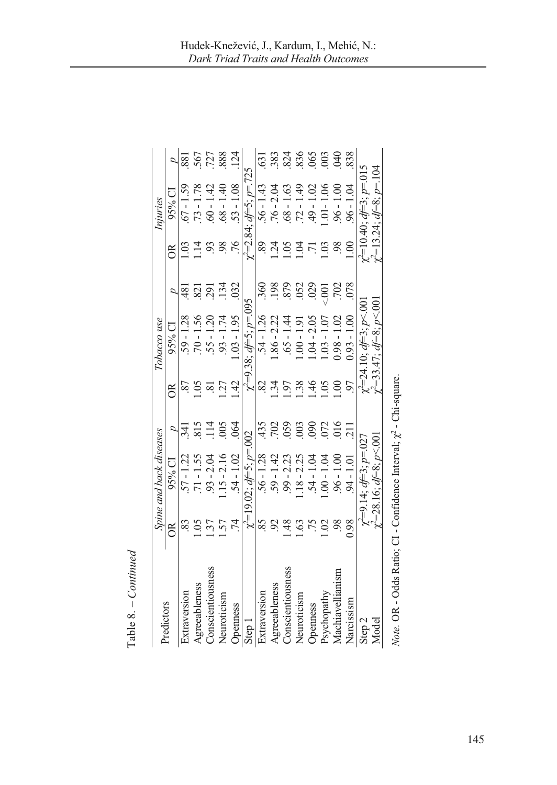|                                                                         |                     | Spine and back diseases              |                           |                 | Tobacco use                                              |                          |         | Injuries                         |                |
|-------------------------------------------------------------------------|---------------------|--------------------------------------|---------------------------|-----------------|----------------------------------------------------------|--------------------------|---------|----------------------------------|----------------|
| Predictors                                                              | õ                   | 95% CI                               |                           | g               | 95% CI                                                   | p                        | õ       | 95% CI                           |                |
| Extraversion                                                            |                     | 57 - 1.22                            | 341                       | 87              | $59 - 1.28$                                              | $\frac{48}{3}$           |         | $67 - 1.59$                      | 881            |
| Agreeableness                                                           |                     | $.71 - 1.55$                         | 815                       | $\dot{0}$       | $70 - 1.56$                                              | $\overline{\mathcal{S}}$ |         | $.73 - 1$                        | 567            |
| Conscientiousness                                                       | $\ddot{3}$          | $.93 - 2.04$                         | 114                       | হ্ৰ             | $.55 - 1.20$                                             | <b>167</b>               | 93      | $-1$                             | 727            |
| Neuroticism                                                             | .57                 | $.15 - 2.16$                         | .005                      | Ċ.              | $93 - 1.74$                                              | 134                      | 98      | $\frac{1}{4}$<br>$1 - 89$ .      | 888            |
| Openness                                                                | $\overline{7}$      | $54 - 1.02$                          | .064                      | $\ddot{4}$      | $1.03 - 1.95$                                            | 032                      | .76     | $.53 - 1.08$                     | 124            |
| Step 1                                                                  |                     | $y^2 = 19.02$ ; $df = 5$ ; $p = 002$ |                           |                 | $\gamma^2 = 9.38$ ; $d = 5$ ; $p = 0.095$                |                          |         | $-2.84:$ $df=5:$ $p=.725$        |                |
| Extraversion                                                            | 85                  | $56 - 1.28$                          | .435                      | $\approx$       | $54 - 1.26$                                              | 360                      | 89.     | $56 - 1.43$                      | 631            |
| Agreeableness                                                           | $\mathcal{S}$       | 59 - 1.42                            | 702                       | ن<br>4          | $.86 - 2.22$                                             | 198                      | Ş.      | $.76 - 2.04$                     | 383            |
| Conscientiousness                                                       | 48                  | $99 - 2.23$                          | 059                       | .97             | $.65 - 1.44$                                             | 879                      | S,      | $\overline{63}$<br>$[-88]$ .     | 824            |
| Neuroticism                                                             | $\ddot{\mathrm{c}}$ | $.18 - 2.25$                         | $\widetilde{\phantom{a}}$ | 38              | $.00 - 1.91$                                             | 052                      |         | $.72 - 1$                        | 836            |
| Openness                                                                |                     | $.54 - 1$                            | 090                       | 1.46            | $.04 - 2.05$                                             | 029                      |         | $-9 - 1$                         | 65             |
| Psychopathy                                                             | S                   | $-00 - 1$                            | 072                       | $\widetilde{5}$ | $1.03 - 1$                                               | $-0.001$                 | C.      | $\frac{8}{10}$<br>$-1$           | 003            |
| Machiavellianism                                                        | 98                  | $96 - 1.00$                          | 016                       | S.              | $0.98 - 1.02$                                            | 702                      | 98      | $.96 - 1.00$                     | $\mathfrak{A}$ |
| Narcissism                                                              | 0.98                | $94 - 1.01$                          | $\overline{11}$           | 97              | $0.93 - 1.00$                                            | 078                      | $\odot$ | $.96 - 1.04$                     | 838            |
| Step $2$                                                                |                     | $\chi = 9.14$ ; $d = 3$ ; $p = 027$  |                           |                 | $\chi$ <sup><math>=</math></sup> 24.10; $d=$ 3; $p$ <.00 |                          |         | $\chi^2$ =10.40; $d=3$ ; $p=015$ |                |
| Model                                                                   |                     | $y^2 = 28.16$ ; $df = 8$ ; $p < 00$  |                           |                 | $y^2 = 33.47$ ; $df = 8$ ; $p < 001$                     |                          |         | $\chi^2$ =13.24; $d=$ 8; $p=104$ |                |
| Note. OR - Odds Ratio; CI - Confidence Interval; $\chi^2$ - Chi-square. |                     |                                      |                           |                 |                                                          |                          |         |                                  |                |

 $Table 8.-Continued$ Table 8. *– Continued*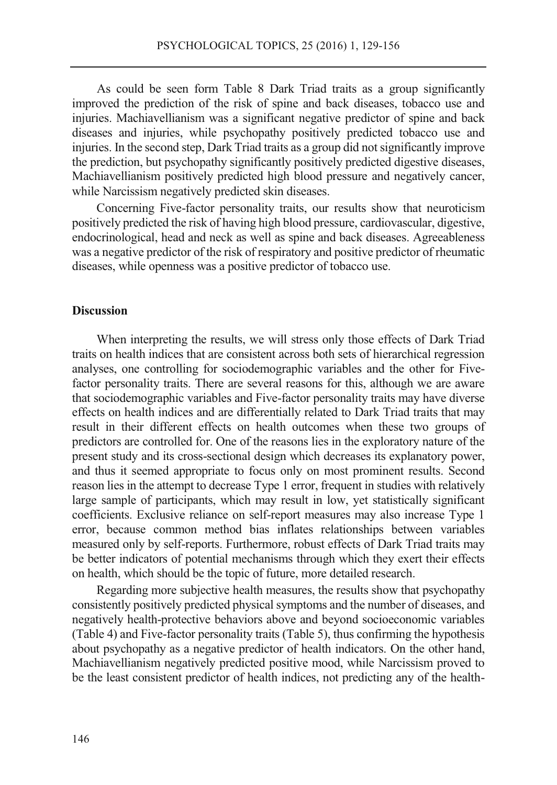As could be seen form Table 8 Dark Triad traits as a group significantly improved the prediction of the risk of spine and back diseases, tobacco use and injuries. Machiavellianism was a significant negative predictor of spine and back diseases and injuries, while psychopathy positively predicted tobacco use and injuries. In the second step, Dark Triad traits as a group did not significantly improve the prediction, but psychopathy significantly positively predicted digestive diseases, Machiavellianism positively predicted high blood pressure and negatively cancer, while Narcissism negatively predicted skin diseases.

Concerning Five-factor personality traits, our results show that neuroticism positively predicted the risk of having high blood pressure, cardiovascular, digestive, endocrinological, head and neck as well as spine and back diseases. Agreeableness was a negative predictor of the risk of respiratory and positive predictor of rheumatic diseases, while openness was a positive predictor of tobacco use.

## **Discussion**

When interpreting the results, we will stress only those effects of Dark Triad traits on health indices that are consistent across both sets of hierarchical regression analyses, one controlling for sociodemographic variables and the other for Fivefactor personality traits. There are several reasons for this, although we are aware that sociodemographic variables and Five-factor personality traits may have diverse effects on health indices and are differentially related to Dark Triad traits that may result in their different effects on health outcomes when these two groups of predictors are controlled for. One of the reasons lies in the exploratory nature of the present study and its cross-sectional design which decreases its explanatory power, and thus it seemed appropriate to focus only on most prominent results. Second reason lies in the attempt to decrease Type 1 error, frequent in studies with relatively large sample of participants, which may result in low, yet statistically significant coefficients. Exclusive reliance on self-report measures may also increase Type 1 error, because common method bias inflates relationships between variables measured only by self-reports. Furthermore, robust effects of Dark Triad traits may be better indicators of potential mechanisms through which they exert their effects on health, which should be the topic of future, more detailed research.

Regarding more subjective health measures, the results show that psychopathy consistently positively predicted physical symptoms and the number of diseases, and negatively health-protective behaviors above and beyond socioeconomic variables (Table 4) and Five-factor personality traits (Table 5), thus confirming the hypothesis about psychopathy as a negative predictor of health indicators. On the other hand, Machiavellianism negatively predicted positive mood, while Narcissism proved to be the least consistent predictor of health indices, not predicting any of the health-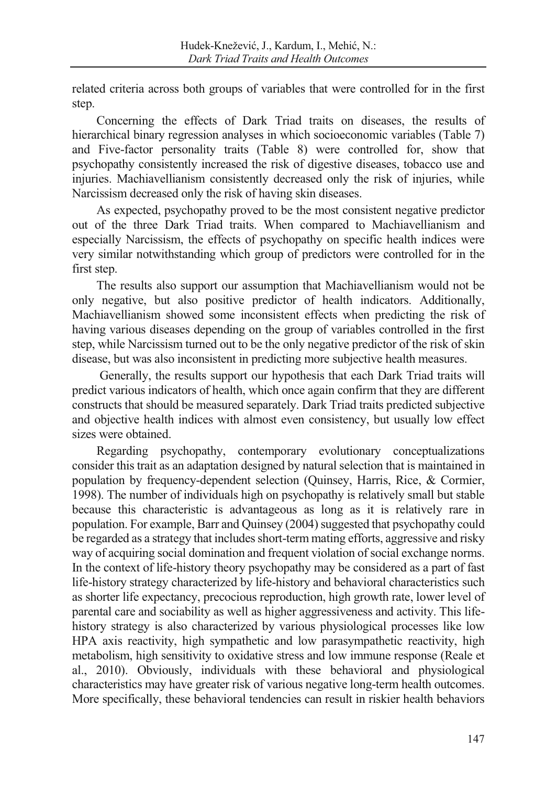related criteria across both groups of variables that were controlled for in the first step.

Concerning the effects of Dark Triad traits on diseases, the results of hierarchical binary regression analyses in which socioeconomic variables (Table 7) and Five-factor personality traits (Table 8) were controlled for, show that psychopathy consistently increased the risk of digestive diseases, tobacco use and injuries. Machiavellianism consistently decreased only the risk of injuries, while Narcissism decreased only the risk of having skin diseases.

As expected, psychopathy proved to be the most consistent negative predictor out of the three Dark Triad traits. When compared to Machiavellianism and especially Narcissism, the effects of psychopathy on specific health indices were very similar notwithstanding which group of predictors were controlled for in the first step.

The results also support our assumption that Machiavellianism would not be only negative, but also positive predictor of health indicators. Additionally, Machiavellianism showed some inconsistent effects when predicting the risk of having various diseases depending on the group of variables controlled in the first step, while Narcissism turned out to be the only negative predictor of the risk of skin disease, but was also inconsistent in predicting more subjective health measures.

 Generally, the results support our hypothesis that each Dark Triad traits will predict various indicators of health, which once again confirm that they are different constructs that should be measured separately. Dark Triad traits predicted subjective and objective health indices with almost even consistency, but usually low effect sizes were obtained.

Regarding psychopathy, contemporary evolutionary conceptualizations consider this trait as an adaptation designed by natural selection that is maintained in population by frequency-dependent selection (Quinsey, Harris, Rice, & Cormier, 1998). The number of individuals high on psychopathy is relatively small but stable because this characteristic is advantageous as long as it is relatively rare in population. For example, Barr and Quinsey (2004) suggested that psychopathy could be regarded as a strategy that includes short-term mating efforts, aggressive and risky way of acquiring social domination and frequent violation of social exchange norms. In the context of life-history theory psychopathy may be considered as a part of fast life-history strategy characterized by life-history and behavioral characteristics such as shorter life expectancy, precocious reproduction, high growth rate, lower level of parental care and sociability as well as higher aggressiveness and activity. This lifehistory strategy is also characterized by various physiological processes like low HPA axis reactivity, high sympathetic and low parasympathetic reactivity, high metabolism, high sensitivity to oxidative stress and low immune response (Reale et al., 2010). Obviously, individuals with these behavioral and physiological characteristics may have greater risk of various negative long-term health outcomes. More specifically, these behavioral tendencies can result in riskier health behaviors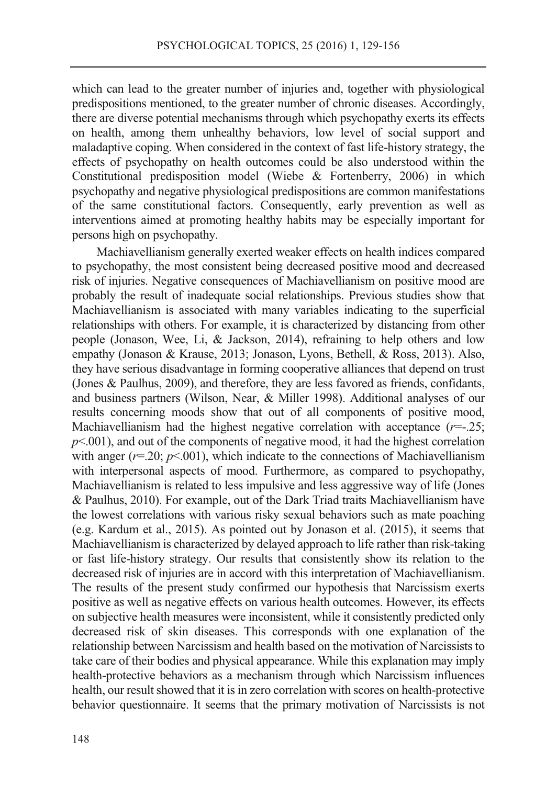which can lead to the greater number of injuries and, together with physiological predispositions mentioned, to the greater number of chronic diseases. Accordingly, there are diverse potential mechanisms through which psychopathy exerts its effects on health, among them unhealthy behaviors, low level of social support and maladaptive coping. When considered in the context of fast life-history strategy, the effects of psychopathy on health outcomes could be also understood within the Constitutional predisposition model (Wiebe & Fortenberry, 2006) in which psychopathy and negative physiological predispositions are common manifestations of the same constitutional factors. Consequently, early prevention as well as interventions aimed at promoting healthy habits may be especially important for persons high on psychopathy.

Machiavellianism generally exerted weaker effects on health indices compared to psychopathy, the most consistent being decreased positive mood and decreased risk of injuries. Negative consequences of Machiavellianism on positive mood are probably the result of inadequate social relationships. Previous studies show that Machiavellianism is associated with many variables indicating to the superficial relationships with others. For example, it is characterized by distancing from other people (Jonason, Wee, Li, & Jackson, 2014), refraining to help others and low empathy (Jonason & Krause, 2013; Jonason, Lyons, Bethell, & Ross, 2013). Also, they have serious disadvantage in forming cooperative alliances that depend on trust (Jones & Paulhus, 2009), and therefore, they are less favored as friends, confidants, and business partners (Wilson, Near, & Miller 1998). Additional analyses of our results concerning moods show that out of all components of positive mood, Machiavellianism had the highest negative correlation with acceptance (*r*=-.25;  $p<.001$ ), and out of the components of negative mood, it had the highest correlation with anger  $(r=0.20; p<0.01)$ , which indicate to the connections of Machiavellianism with interpersonal aspects of mood. Furthermore, as compared to psychopathy, Machiavellianism is related to less impulsive and less aggressive way of life (Jones & Paulhus, 2010). For example, out of the Dark Triad traits Machiavellianism have the lowest correlations with various risky sexual behaviors such as mate poaching (e.g. Kardum et al., 2015). As pointed out by Jonason et al. (2015), it seems that Machiavellianism is characterized by delayed approach to life rather than risk-taking or fast life-history strategy. Our results that consistently show its relation to the decreased risk of injuries are in accord with this interpretation of Machiavellianism. The results of the present study confirmed our hypothesis that Narcissism exerts positive as well as negative effects on various health outcomes. However, its effects on subjective health measures were inconsistent, while it consistently predicted only decreased risk of skin diseases. This corresponds with one explanation of the relationship between Narcissism and health based on the motivation of Narcissists to take care of their bodies and physical appearance. While this explanation may imply health-protective behaviors as a mechanism through which Narcissism influences health, our result showed that it is in zero correlation with scores on health-protective behavior questionnaire. It seems that the primary motivation of Narcissists is not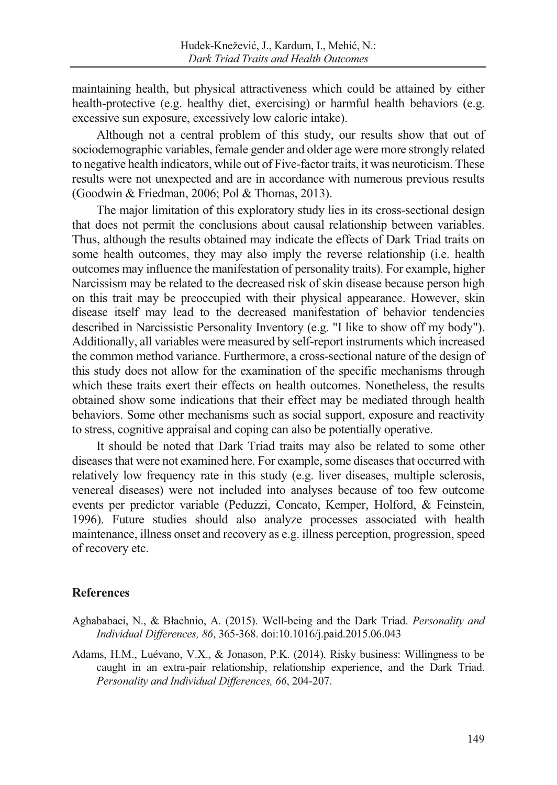maintaining health, but physical attractiveness which could be attained by either health-protective (e.g. healthy diet, exercising) or harmful health behaviors (e.g. excessive sun exposure, excessively low caloric intake).

Although not a central problem of this study, our results show that out of sociodemographic variables, female gender and older age were more strongly related to negative health indicators, while out of Five-factor traits, it was neuroticism. These results were not unexpected and are in accordance with numerous previous results (Goodwin & Friedman, 2006; Pol & Thomas, 2013).

The major limitation of this exploratory study lies in its cross-sectional design that does not permit the conclusions about causal relationship between variables. Thus, although the results obtained may indicate the effects of Dark Triad traits on some health outcomes, they may also imply the reverse relationship (i.e. health outcomes may influence the manifestation of personality traits). For example, higher Narcissism may be related to the decreased risk of skin disease because person high on this trait may be preoccupied with their physical appearance. However, skin disease itself may lead to the decreased manifestation of behavior tendencies described in Narcissistic Personality Inventory (e.g. "I like to show off my body"). Additionally, all variables were measured by self-report instruments which increased the common method variance. Furthermore, a cross-sectional nature of the design of this study does not allow for the examination of the specific mechanisms through which these traits exert their effects on health outcomes. Nonetheless, the results obtained show some indications that their effect may be mediated through health behaviors. Some other mechanisms such as social support, exposure and reactivity to stress, cognitive appraisal and coping can also be potentially operative.

It should be noted that Dark Triad traits may also be related to some other diseases that were not examined here. For example, some diseases that occurred with relatively low frequency rate in this study (e.g. liver diseases, multiple sclerosis, venereal diseases) were not included into analyses because of too few outcome events per predictor variable (Peduzzi, Concato, Kemper, Holford, & Feinstein, 1996). Future studies should also analyze processes associated with health maintenance, illness onset and recovery as e.g. illness perception, progression, speed of recovery etc.

# **References**

- Aghababaei, N., & Błachnio, A. (2015). Well-being and the Dark Triad. *Personality and Individual Differences, 86*, 365-368. doi:10.1016/j.paid.2015.06.043
- Adams, H.M., Luévano, V.X., & Jonason, P.K. (2014). Risky business: Willingness to be caught in an extra-pair relationship, relationship experience, and the Dark Triad. *Personality and Individual Differences, 66*, 204-207.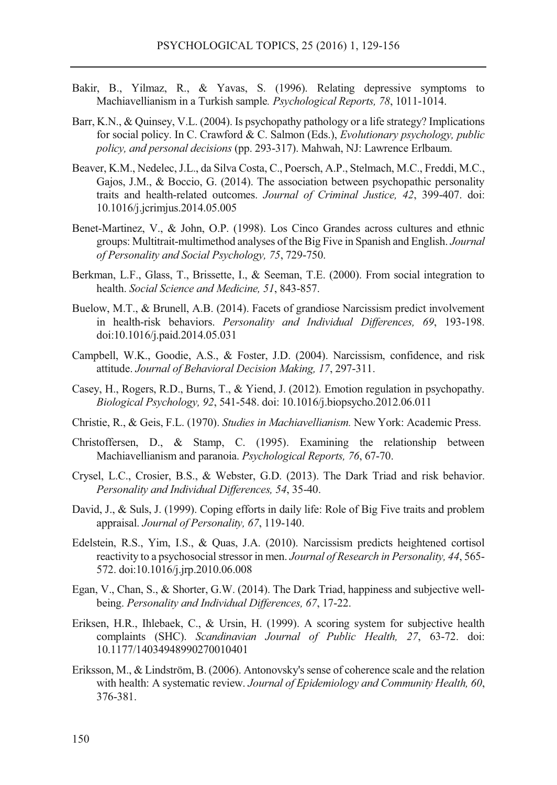- Bakir, B., Yilmaz, R., & Yavas, S. (1996). Relating depressive symptoms to Machiavellianism in a Turkish sample*. Psychological Reports, 78*, 1011-1014.
- Barr, K.N., & Quinsey, V.L. (2004). Is psychopathy pathology or a life strategy? Implications for social policy. In C. Crawford & C. Salmon (Eds.), *Evolutionary psychology, public policy, and personal decisions* (pp. 293-317). Mahwah, NJ: Lawrence Erlbaum.
- Beaver, K.M., Nedelec, J.L., da Silva Costa, C., Poersch, A.P., Stelmach, M.C., Freddi, M.C., Gajos, J.M., & Boccio, G. (2014). The association between psychopathic personality traits and health-related outcomes. *Journal of Criminal Justice, 42*, 399-407. doi: 10.1016/j.jcrimjus.2014.05.005
- Benet-Martinez, V., & John, O.P. (1998). Los Cinco Grandes across cultures and ethnic groups: Multitrait-multimethod analyses of the Big Five in Spanish and English. *Journal of Personality and Social Psychology, 75*, 729-750.
- Berkman, L.F., Glass, T., Brissette, I., & Seeman, T.E. (2000). From social integration to health. *Social Science and Medicine, 51*, 843-857.
- Buelow, M.T., & Brunell, A.B. (2014). Facets of grandiose Narcissism predict involvement in health-risk behaviors. *Personality and Individual Differences, 69*, 193-198. doi:10.1016/j.paid.2014.05.031
- Campbell, W.K., Goodie, A.S., & Foster, J.D. (2004). Narcissism, confidence, and risk attitude. *Journal of Behavioral Decision Making, 17*, 297-311.
- Casey, H., Rogers, R.D., Burns, T., & Yiend, J. (2012). Emotion regulation in psychopathy. *Biological Psychology, 92*, 541-548. doi: 10.1016/j.biopsycho.2012.06.011
- Christie, R., & Geis, F.L. (1970). *Studies in Machiavellianism.* New York: Academic Press.
- Christoffersen, D., & Stamp, C. (1995). Examining the relationship between Machiavellianism and paranoia. *Psychological Reports, 76*, 67-70.
- Crysel, L.C., Crosier, B.S., & Webster, G.D. (2013). The Dark Triad and risk behavior. *Personality and Individual Differences, 54*, 35-40.
- David, J., & Suls, J. (1999). Coping efforts in daily life: Role of Big Five traits and problem appraisal. *Journal of Personality, 67*, 119-140.
- Edelstein, R.S., Yim, I.S., & Quas, J.A. (2010). Narcissism predicts heightened cortisol reactivity to a psychosocial stressor in men. *Journal of Research in Personality, 44*, 565- 572. doi:10.1016/j.jrp.2010.06.008
- Egan, V., Chan, S., & Shorter, G.W. (2014). The Dark Triad, happiness and subjective wellbeing. *Personality and Individual Differences, 67*, 17-22.
- Eriksen, H.R., Ihlebaek, C., & Ursin, H. (1999). A scoring system for subjective health complaints (SHC). *Scandinavian Journal of Public Health, 27*, 63-72. doi: 10.1177/14034948990270010401
- Eriksson, M., & Lindström, B. (2006). Antonovsky's sense of coherence scale and the relation with health: A systematic review. *Journal of Epidemiology and Community Health, 60*, 376-381.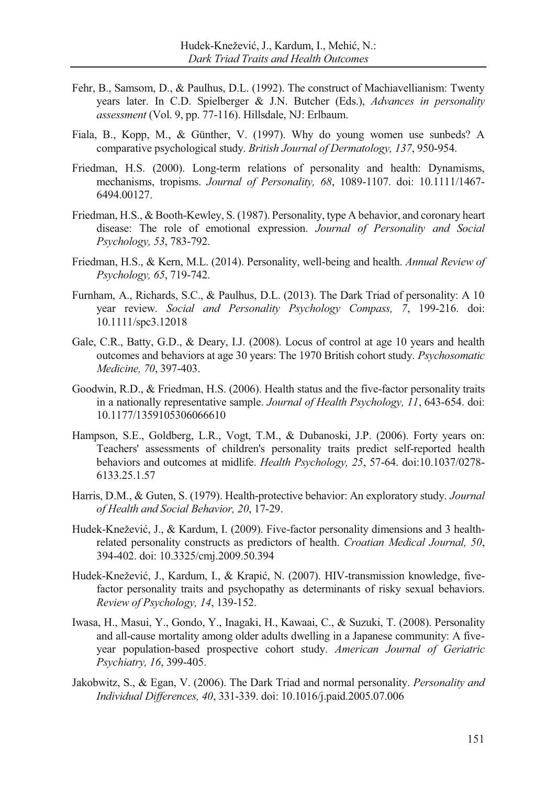- Fehr, B., Samsom, D., & Paulhus, D.L. (1992). The construct of Machiavellianism: Twenty years later. In C.D. Spielberger & J.N. Butcher (Eds.), *Advances in personality assessment* (Vol. 9, pp. 77-116). Hillsdale, NJ: Erlbaum.
- Fiala, B., Kopp, M., & Günther, V. (1997). Why do young women use sunbeds? A comparative psychological study. *British Journal of Dermatology, 137*, 950-954.
- Friedman, H.S. (2000). Long-term relations of personality and health: Dynamisms, mechanisms, tropisms. *Journal of Personality, 68*, 1089-1107. doi: 10.1111/1467- 6494.00127.
- Friedman, H.S., & Booth-Kewley, S. (1987). Personality, type A behavior, and coronary heart disease: The role of emotional expression. *Journal of Personality and Social Psychology, 53*, 783-792.
- Friedman, H.S., & Kern, M.L. (2014). Personality, well-being and health. *Annual Review of Psychology, 65*, 719-742.
- Furnham, A., Richards, S.C., & Paulhus, D.L. (2013). The Dark Triad of personality: A 10 year review. *Social and Personality Psychology Compass, 7*, 199-216. doi: 10.1111/spc3.12018
- Gale, C.R., Batty, G.D., & Deary, I.J. (2008). Locus of control at age 10 years and health outcomes and behaviors at age 30 years: The 1970 British cohort study. *Psychosomatic Medicine, 70*, 397-403.
- Goodwin, R.D., & Friedman, H.S. (2006). Health status and the five-factor personality traits in a nationally representative sample. *Journal of Health Psychology, 11*, 643-654. doi: 10.1177/1359105306066610
- Hampson, S.E., Goldberg, L.R., Vogt, T.M., & Dubanoski, J.P. (2006). Forty years on: Teachers' assessments of children's personality traits predict self-reported health behaviors and outcomes at midlife. *Health Psychology, 25*, 57-64. doi:10.1037/0278- 6133.25.1.57
- Harris, D.M., & Guten, S. (1979). Health-protective behavior: An exploratory study. *Journal of Health and Social Behavior, 20*, 17-29.
- Hudek-Knežević, J., & Kardum, I. (2009). Five-factor personality dimensions and 3 healthrelated personality constructs as predictors of health. *Croatian Medical Journal, 50*, 394-402. doi: 10.3325/cmj.2009.50.394
- Hudek-Knežević, J., Kardum, I., & Krapić, N. (2007). HIV-transmission knowledge, fivefactor personality traits and psychopathy as determinants of risky sexual behaviors. *Review of Psychology, 14*, 139-152.
- Iwasa, H., Masui, Y., Gondo, Y., Inagaki, H., Kawaai, C., & Suzuki, T. (2008). Personality and all-cause mortality among older adults dwelling in a Japanese community: A fiveyear population-based prospective cohort study. *American Journal of Geriatric Psychiatry, 16*, 399-405.
- Jakobwitz, S., & Egan, V. (2006). The Dark Triad and normal personality. *Personality and Individual Differences, 40*, 331-339. doi: 10.1016/j.paid.2005.07.006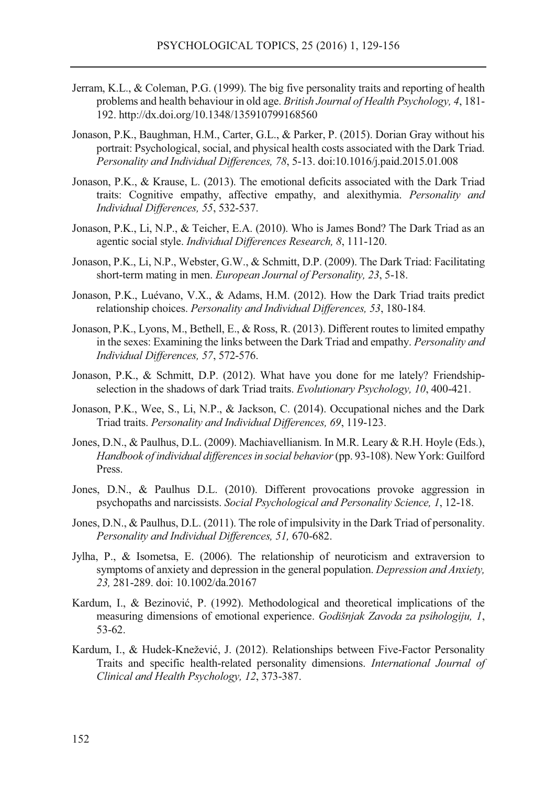- Jerram, K.L., & Coleman, P.G. (1999). The big five personality traits and reporting of health problems and health behaviour in old age. *British Journal of Health Psychology, 4*, 181- 192. http://dx.doi.org/10.1348/135910799168560
- Jonason, P.K., Baughman, H.M., Carter, G.L., & Parker, P. (2015). Dorian Gray without his portrait: Psychological, social, and physical health costs associated with the Dark Triad. *Personality and Individual Differences, 78*, 5-13. doi:10.1016/j.paid.2015.01.008
- Jonason, P.K., & Krause, L. (2013). The emotional deficits associated with the Dark Triad traits: Cognitive empathy, affective empathy, and alexithymia. *Personality and Individual Differences, 55*, 532-537.
- Jonason, P.K., Li, N.P., & Teicher, E.A. (2010). Who is James Bond? The Dark Triad as an agentic social style. *Individual Differences Research, 8*, 111-120.
- Jonason, P.K., Li, N.P., Webster, G.W., & Schmitt, D.P. (2009). The Dark Triad: Facilitating short-term mating in men. *European Journal of Personality, 23*, 5-18.
- Jonason, P.K., Luévano, V.X., & Adams, H.M. (2012). How the Dark Triad traits predict relationship choices. *Personality and Individual Differences, 53*, 180-184*.*
- Jonason, P.K., Lyons, M., Bethell, E., & Ross, R. (2013). Different routes to limited empathy in the sexes: Examining the links between the Dark Triad and empathy. *Personality and Individual Differences, 57*, 572-576.
- Jonason, P.K., & Schmitt, D.P. (2012). What have you done for me lately? Friendshipselection in the shadows of dark Triad traits. *Evolutionary Psychology, 10*, 400-421.
- Jonason, P.K., Wee, S., Li, N.P., & Jackson, C. (2014). Occupational niches and the Dark Triad traits. *Personality and Individual Differences, 69*, 119-123.
- Jones, D.N., & Paulhus, D.L. (2009). Machiavellianism. In M.R. Leary & R.H. Hoyle (Eds.), *Handbook of individual differences in social behavior* (pp. 93-108). New York: Guilford Press.
- Jones, D.N., & Paulhus D.L. (2010). Different provocations provoke aggression in psychopaths and narcissists. *Social Psychological and Personality Science, 1*, 12-18.
- Jones, D.N., & Paulhus, D.L. (2011). The role of impulsivity in the Dark Triad of personality. *Personality and Individual Differences, 51,* 670-682.
- Jylha, P., & Isometsa, E. (2006). The relationship of neuroticism and extraversion to symptoms of anxiety and depression in the general population. *Depression and Anxiety, 23,* 281-289. doi: 10.1002/da.20167
- Kardum, I., & Bezinović, P. (1992). Methodological and theoretical implications of the measuring dimensions of emotional experience. *Godišnjak Zavoda za psihologiju, 1*, 53-62.
- Kardum, I., & Hudek-Knežević, J. (2012). Relationships between Five-Factor Personality Traits and specific health-related personality dimensions. *International Journal of Clinical and Health Psychology, 12*, 373-387.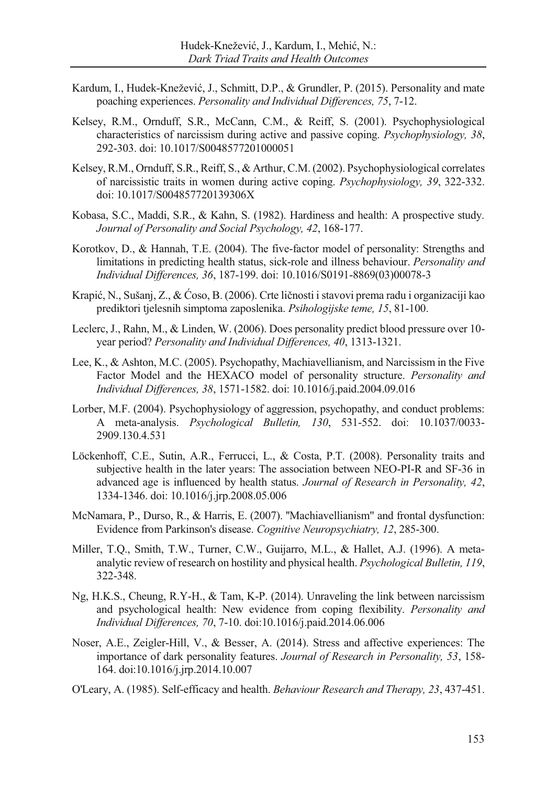- Kardum, I., Hudek-Knežević, J., Schmitt, D.P., & Grundler, P. (2015). Personality and mate poaching experiences. *Personality and Individual Differences, 75*, 7-12.
- Kelsey, R.M., Ornduff, S.R., McCann, C.M., & Reiff, S. (2001). Psychophysiological characteristics of narcissism during active and passive coping. *Psychophysiology, 38*, 292-303. doi: 10.1017/S0048577201000051
- Kelsey, R.M., Ornduff, S.R., Reiff, S., & Arthur, C.M. (2002). Psychophysiological correlates of narcissistic traits in women during active coping. *Psychophysiology, 39*, 322-332. doi: 10.1017/S004857720139306X
- Kobasa, S.C., Maddi, S.R., & Kahn, S. (1982). Hardiness and health: A prospective study. *Journal of Personality and Social Psychology, 42*, 168-177.
- Korotkov, D., & Hannah, T.E. (2004). The five-factor model of personality: Strengths and limitations in predicting health status, sick-role and illness behaviour. *Personality and Individual Differences, 36*, 187-199. doi: 10.1016/S0191-8869(03)00078-3
- Krapić, N., Sušanj, Z., & Ćoso, B. (2006). Crte ličnosti i stavovi prema radu i organizaciji kao prediktori tjelesnih simptoma zaposlenika. *Psihologijske teme, 15*, 81-100.
- Leclerc, J., Rahn, M., & Linden, W. (2006). Does personality predict blood pressure over 10 year period? *Personality and Individual Differences, 40*, 1313-1321.
- Lee, K., & Ashton, M.C. (2005). Psychopathy, Machiavellianism, and Narcissism in the Five Factor Model and the HEXACO model of personality structure. *Personality and Individual Differences, 38*, 1571-1582. doi: 10.1016/j.paid.2004.09.016
- Lorber, M.F. (2004). Psychophysiology of aggression, psychopathy, and conduct problems: A meta-analysis. *Psychological Bulletin, 130*, 531-552. doi: 10.1037/0033- 2909.130.4.531
- Löckenhoff, C.E., Sutin, A.R., Ferrucci, L., & Costa, P.T. (2008). Personality traits and subjective health in the later years: The association between NEO-PI-R and SF-36 in advanced age is influenced by health status. *Journal of Research in Personality, 42*, 1334-1346. doi: 10.1016/j.jrp.2008.05.006
- McNamara, P., Durso, R., & Harris, E. (2007). ''Machiavellianism" and frontal dysfunction: Evidence from Parkinson's disease. *Cognitive Neuropsychiatry, 12*, 285-300.
- Miller, T.Q., Smith, T.W., Turner, C.W., Guijarro, M.L., & Hallet, A.J. (1996). A metaanalytic review of research on hostility and physical health. *Psychological Bulletin, 119*, 322-348.
- Ng, H.K.S., Cheung, R.Y-H., & Tam, K-P. (2014). Unraveling the link between narcissism and psychological health: New evidence from coping flexibility. *Personality and Individual Differences, 70*, 7-10. doi:10.1016/j.paid.2014.06.006
- Noser, A.E., Zeigler-Hill, V., & Besser, A. (2014). Stress and affective experiences: The importance of dark personality features. *Journal of Research in Personality, 53*, 158- 164. doi:10.1016/j.jrp.2014.10.007
- O'Leary, A. (1985). Self-efficacy and health. *Behaviour Research and Therapy, 23*, 437-451.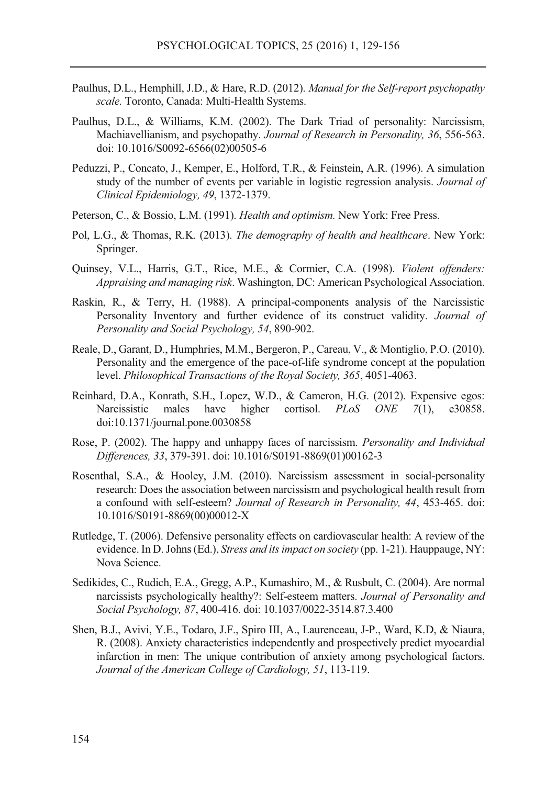- Paulhus, D.L., Hemphill, J.D., & Hare, R.D. (2012). *Manual for the Self-report psychopathy scale.* Toronto, Canada: Multi-Health Systems.
- Paulhus, D.L., & Williams, K.M. (2002). The Dark Triad of personality: Narcissism, Machiavellianism, and psychopathy. *Journal of Research in Personality, 36*, 556-563. doi: 10.1016/S0092-6566(02)00505-6
- Peduzzi, P., Concato, J., Kemper, E., Holford, T.R., & Feinstein, A.R. (1996). A simulation study of the number of events per variable in logistic regression analysis. *Journal of Clinical Epidemiology, 49*, 1372-1379.
- Peterson, C., & Bossio, L.M. (1991). *Health and optimism.* New York: Free Press.
- Pol, L.G., & Thomas, R.K. (2013). *The demography of health and healthcare*. New York: Springer.
- Quinsey, V.L., Harris, G.T., Rice, M.E., & Cormier, C.A. (1998). *Violent offenders: Appraising and managing risk*. Washington, DC: American Psychological Association.
- Raskin, R., & Terry, H. (1988). A principal-components analysis of the Narcissistic Personality Inventory and further evidence of its construct validity. *Journal of Personality and Social Psychology, 54*, 890-902.
- Reale, D., Garant, D., Humphries, M.M., Bergeron, P., Careau, V., & Montiglio, P.O. (2010). Personality and the emergence of the pace-of-life syndrome concept at the population level. *Philosophical Transactions of the Royal Society, 365*, 4051-4063.
- Reinhard, D.A., Konrath, S.H., Lopez, W.D., & Cameron, H.G. (2012). Expensive egos: Narcissistic males have higher cortisol. *PLoS ONE 7*(1), e30858. doi:10.1371/journal.pone.0030858
- Rose, P. (2002). The happy and unhappy faces of narcissism. *Personality and Individual Differences, 33*, 379-391. doi: 10.1016/S0191-8869(01)00162-3
- Rosenthal, S.A., & Hooley, J.M. (2010). Narcissism assessment in social-personality research: Does the association between narcissism and psychological health result from a confound with self-esteem? *Journal of Research in Personality, 44*, 453-465. doi: 10.1016/S0191-8869(00)00012-X
- Rutledge, T. (2006). Defensive personality effects on cardiovascular health: A review of the evidence. In D. Johns (Ed.), *Stress and its impact on society* (pp. 1-21). Hauppauge, NY: Nova Science.
- Sedikides, C., Rudich, E.A., Gregg, A.P., Kumashiro, M., & Rusbult, C. (2004). Are normal narcissists psychologically healthy?: Self-esteem matters. *Journal of Personality and Social Psychology, 87*, 400-416. doi: 10.1037/0022-3514.87.3.400
- Shen, B.J., Avivi, Y.E., Todaro, J.F., Spiro III, A., Laurenceau, J-P., Ward, K.D, & Niaura, R. (2008). Anxiety characteristics independently and prospectively predict myocardial infarction in men: The unique contribution of anxiety among psychological factors. *Journal of the American College of Cardiology, 51*, 113-119.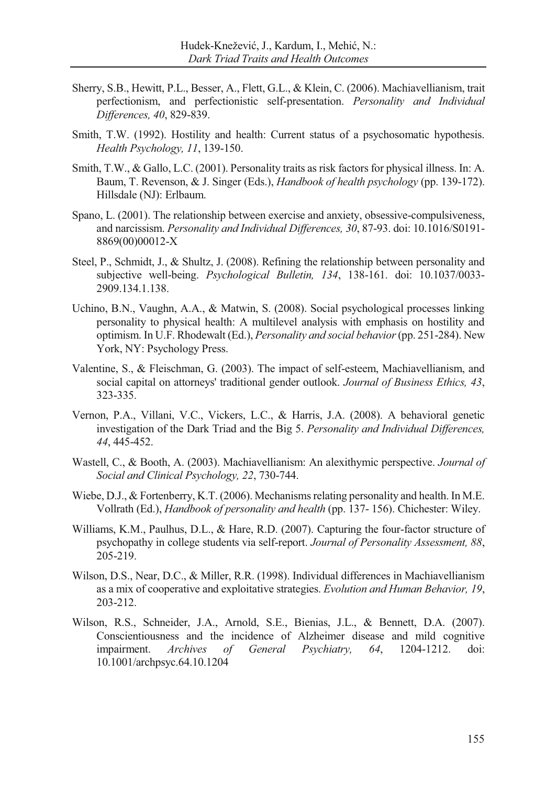- Sherry, S.B., Hewitt, P.L., Besser, A., Flett, G.L., & Klein, C. (2006). Machiavellianism, trait perfectionism, and perfectionistic self-presentation. *Personality and Individual Differences, 40*, 829-839.
- Smith, T.W. (1992). Hostility and health: Current status of a psychosomatic hypothesis. *Health Psychology, 11*, 139-150.
- Smith, T.W., & Gallo, L.C. (2001). Personality traits as risk factors for physical illness. In: A. Baum, T. Revenson, & J. Singer (Eds.), *Handbook of health psychology* (pp. 139-172). Hillsdale (NJ): Erlbaum.
- Spano, L. (2001). The relationship between exercise and anxiety, obsessive-compulsiveness, and narcissism. *Personality and Individual Differences, 30*, 87-93. doi: 10.1016/S0191- 8869(00)00012-X
- Steel, P., Schmidt, J., & Shultz, J. (2008). Refining the relationship between personality and subjective well-being. *Psychological Bulletin, 134*, 138-161. doi: 10.1037/0033- 2909.134.1.138.
- Uchino, B.N., Vaughn, A.A., & Matwin, S. (2008). Social psychological processes linking personality to physical health: A multilevel analysis with emphasis on hostility and optimism. In U.F. Rhodewalt (Ed.), *Personality and social behavior* (pp. 251-284). New York, NY: Psychology Press.
- Valentine, S., & Fleischman, G. (2003). The impact of self-esteem, Machiavellianism, and social capital on attorneys' traditional gender outlook. *Journal of Business Ethics, 43*, 323-335.
- Vernon, P.A., Villani, V.C., Vickers, L.C., & Harris, J.A. (2008). A behavioral genetic investigation of the Dark Triad and the Big 5. *Personality and Individual Differences, 44*, 445-452.
- Wastell, C., & Booth, A. (2003). Machiavellianism: An alexithymic perspective. *Journal of Social and Clinical Psychology, 22*, 730-744.
- Wiebe, D.J., & Fortenberry, K.T. (2006). Mechanisms relating personality and health. In M.E. Vollrath (Ed.), *Handbook of personality and health* (pp. 137- 156). Chichester: Wiley.
- Williams, K.M., Paulhus, D.L., & Hare, R.D. (2007). Capturing the four-factor structure of psychopathy in college students via self-report. *Journal of Personality Assessment, 88*, 205-219.
- Wilson, D.S., Near, D.C., & Miller, R.R. (1998). Individual differences in Machiavellianism as a mix of cooperative and exploitative strategies. *Evolution and Human Behavior, 19*, 203-212.
- Wilson, R.S., Schneider, J.A., Arnold, S.E., Bienias, J.L., & Bennett, D.A. (2007). Conscientiousness and the incidence of Alzheimer disease and mild cognitive impairment. *Archives of General Psychiatry, 64*, 1204-1212. doi: 10.1001/archpsyc.64.10.1204